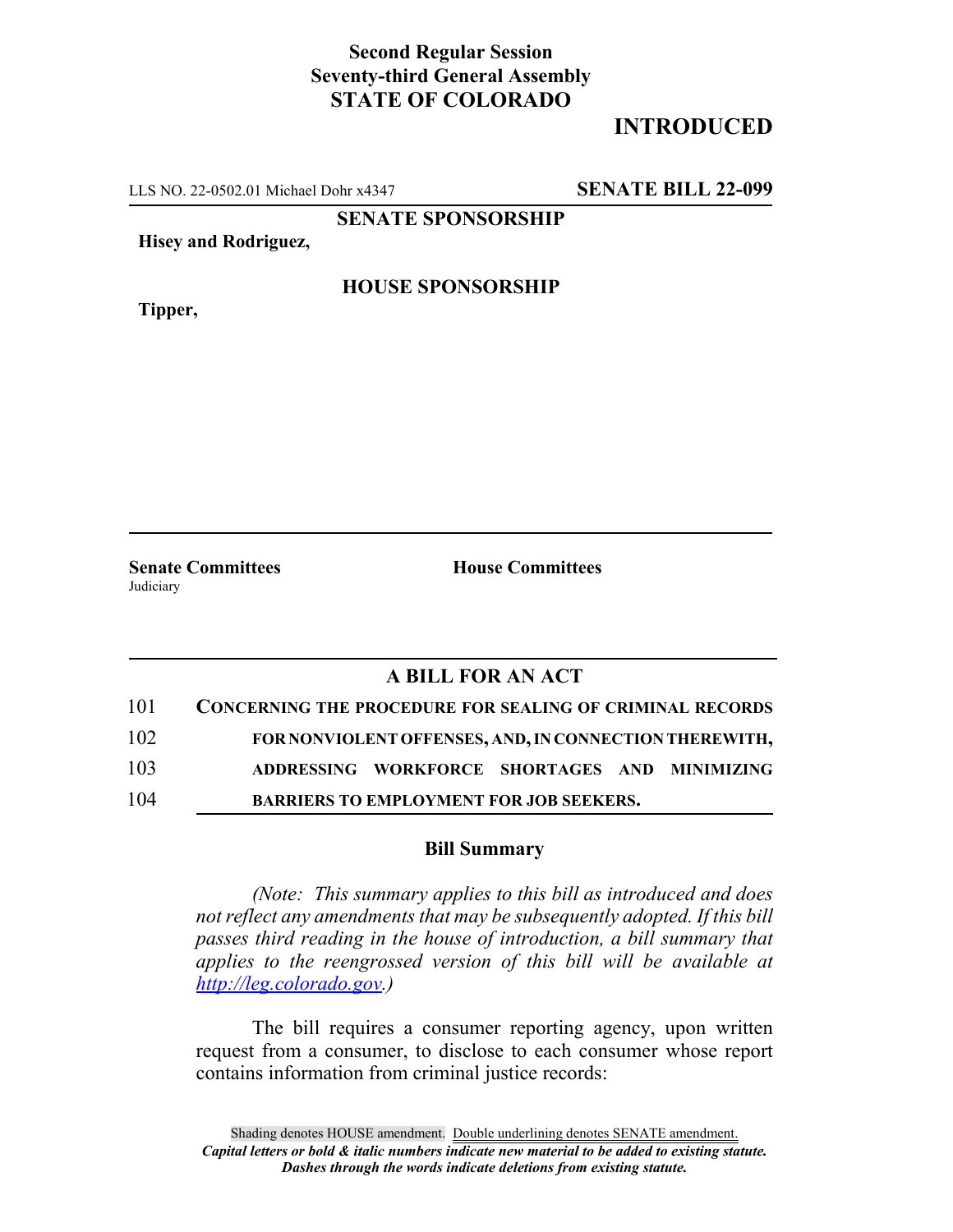# **Second Regular Session Seventy-third General Assembly STATE OF COLORADO**

# **INTRODUCED**

LLS NO. 22-0502.01 Michael Dohr x4347 **SENATE BILL 22-099**

**SENATE SPONSORSHIP**

**Hisey and Rodriguez,**

**Tipper,**

## **HOUSE SPONSORSHIP**

**Senate Committees House Committees** Judiciary

## **A BILL FOR AN ACT**

| 101 | <b>CONCERNING THE PROCEDURE FOR SEALING OF CRIMINAL RECORDS</b> |
|-----|-----------------------------------------------------------------|
| 102 | FOR NONVIOLENT OFFENSES, AND, IN CONNECTION THEREWITH,          |
| 103 | ADDRESSING WORKFORCE SHORTAGES AND MINIMIZING                   |
| 104 | <b>BARRIERS TO EMPLOYMENT FOR JOB SEEKERS.</b>                  |

### **Bill Summary**

*(Note: This summary applies to this bill as introduced and does not reflect any amendments that may be subsequently adopted. If this bill passes third reading in the house of introduction, a bill summary that applies to the reengrossed version of this bill will be available at http://leg.colorado.gov.)*

The bill requires a consumer reporting agency, upon written request from a consumer, to disclose to each consumer whose report contains information from criminal justice records: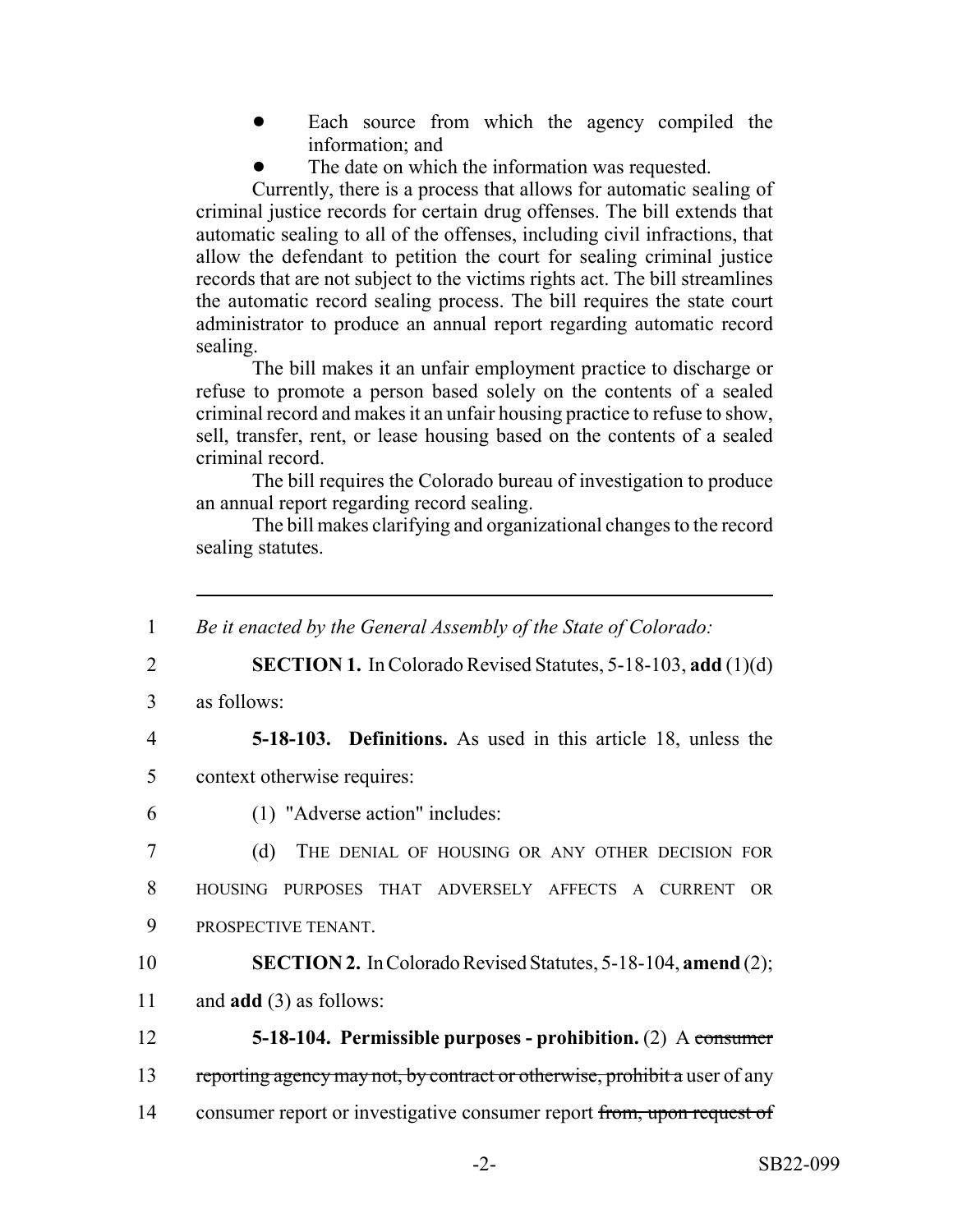- Each source from which the agency compiled the information; and
- The date on which the information was requested.

Currently, there is a process that allows for automatic sealing of criminal justice records for certain drug offenses. The bill extends that automatic sealing to all of the offenses, including civil infractions, that allow the defendant to petition the court for sealing criminal justice records that are not subject to the victims rights act. The bill streamlines the automatic record sealing process. The bill requires the state court administrator to produce an annual report regarding automatic record sealing.

The bill makes it an unfair employment practice to discharge or refuse to promote a person based solely on the contents of a sealed criminal record and makes it an unfair housing practice to refuse to show, sell, transfer, rent, or lease housing based on the contents of a sealed criminal record.

The bill requires the Colorado bureau of investigation to produce an annual report regarding record sealing.

The bill makes clarifying and organizational changes to the record sealing statutes.

 *Be it enacted by the General Assembly of the State of Colorado:* **SECTION 1.** In Colorado Revised Statutes, 5-18-103, **add** (1)(d) as follows: **5-18-103. Definitions.** As used in this article 18, unless the context otherwise requires: (1) "Adverse action" includes: (d) THE DENIAL OF HOUSING OR ANY OTHER DECISION FOR HOUSING PURPOSES THAT ADVERSELY AFFECTS A CURRENT OR PROSPECTIVE TENANT. **SECTION 2.** In Colorado Revised Statutes, 5-18-104, **amend** (2); and **add** (3) as follows: **5-18-104. Permissible purposes - prohibition.** (2) A consumer 13 reporting agency may not, by contract or otherwise, prohibit a user of any 14 consumer report or investigative consumer report from, upon request of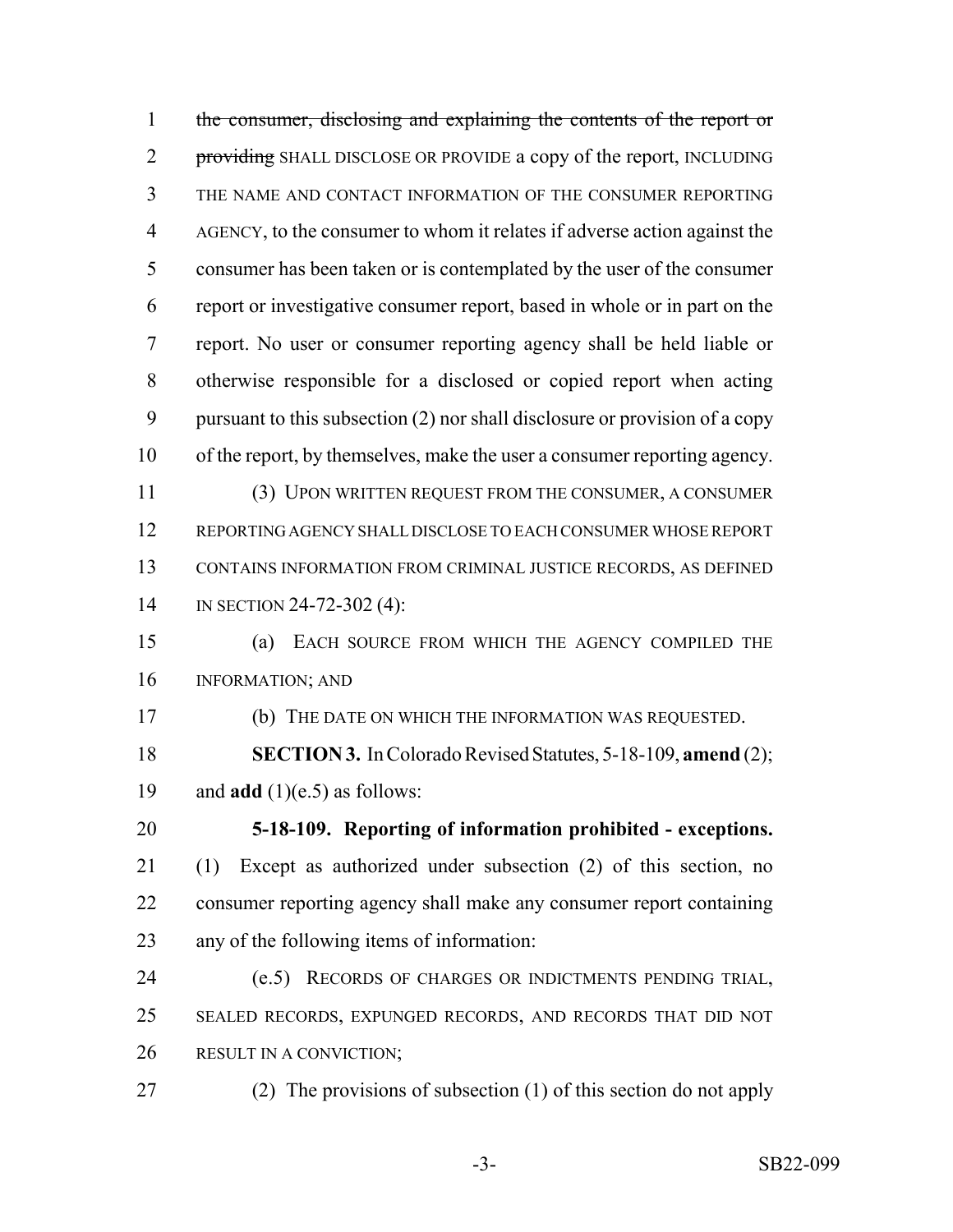| $\mathbf{1}$   | the consumer, disclosing and explaining the contents of the report or       |
|----------------|-----------------------------------------------------------------------------|
| $\overline{2}$ | providing SHALL DISCLOSE OR PROVIDE a copy of the report, INCLUDING         |
| 3              | THE NAME AND CONTACT INFORMATION OF THE CONSUMER REPORTING                  |
| $\overline{4}$ | AGENCY, to the consumer to whom it relates if adverse action against the    |
| 5              | consumer has been taken or is contemplated by the user of the consumer      |
| 6              | report or investigative consumer report, based in whole or in part on the   |
| 7              | report. No user or consumer reporting agency shall be held liable or        |
| 8              | otherwise responsible for a disclosed or copied report when acting          |
| 9              | pursuant to this subsection (2) nor shall disclosure or provision of a copy |
| 10             | of the report, by themselves, make the user a consumer reporting agency.    |
| 11             | (3) UPON WRITTEN REQUEST FROM THE CONSUMER, A CONSUMER                      |
| 12             | REPORTING AGENCY SHALL DISCLOSE TO EACH CONSUMER WHOSE REPORT               |
| 13             | CONTAINS INFORMATION FROM CRIMINAL JUSTICE RECORDS, AS DEFINED              |
| 14             | IN SECTION 24-72-302 (4):                                                   |
| 15             | EACH SOURCE FROM WHICH THE AGENCY COMPILED THE<br>(a)                       |
| 16             | <b>INFORMATION; AND</b>                                                     |
| 17             | (b) THE DATE ON WHICH THE INFORMATION WAS REQUESTED.                        |
| 18             | <b>SECTION 3.</b> In Colorado Revised Statutes, 5-18-109, amend (2);        |
| 19             | and $add(1)(e.5)$ as follows:                                               |
| 20             | 5-18-109. Reporting of information prohibited - exceptions.                 |
| 21             | Except as authorized under subsection (2) of this section, no<br>(1)        |
| 22             | consumer reporting agency shall make any consumer report containing         |
| 23             | any of the following items of information:                                  |
| 24             | RECORDS OF CHARGES OR INDICTMENTS PENDING TRIAL,<br>(e.5)                   |
| 25             | SEALED RECORDS, EXPUNGED RECORDS, AND RECORDS THAT DID NOT                  |
| 26             | RESULT IN A CONVICTION;                                                     |
| 27             | (2) The provisions of subsection (1) of this section do not apply           |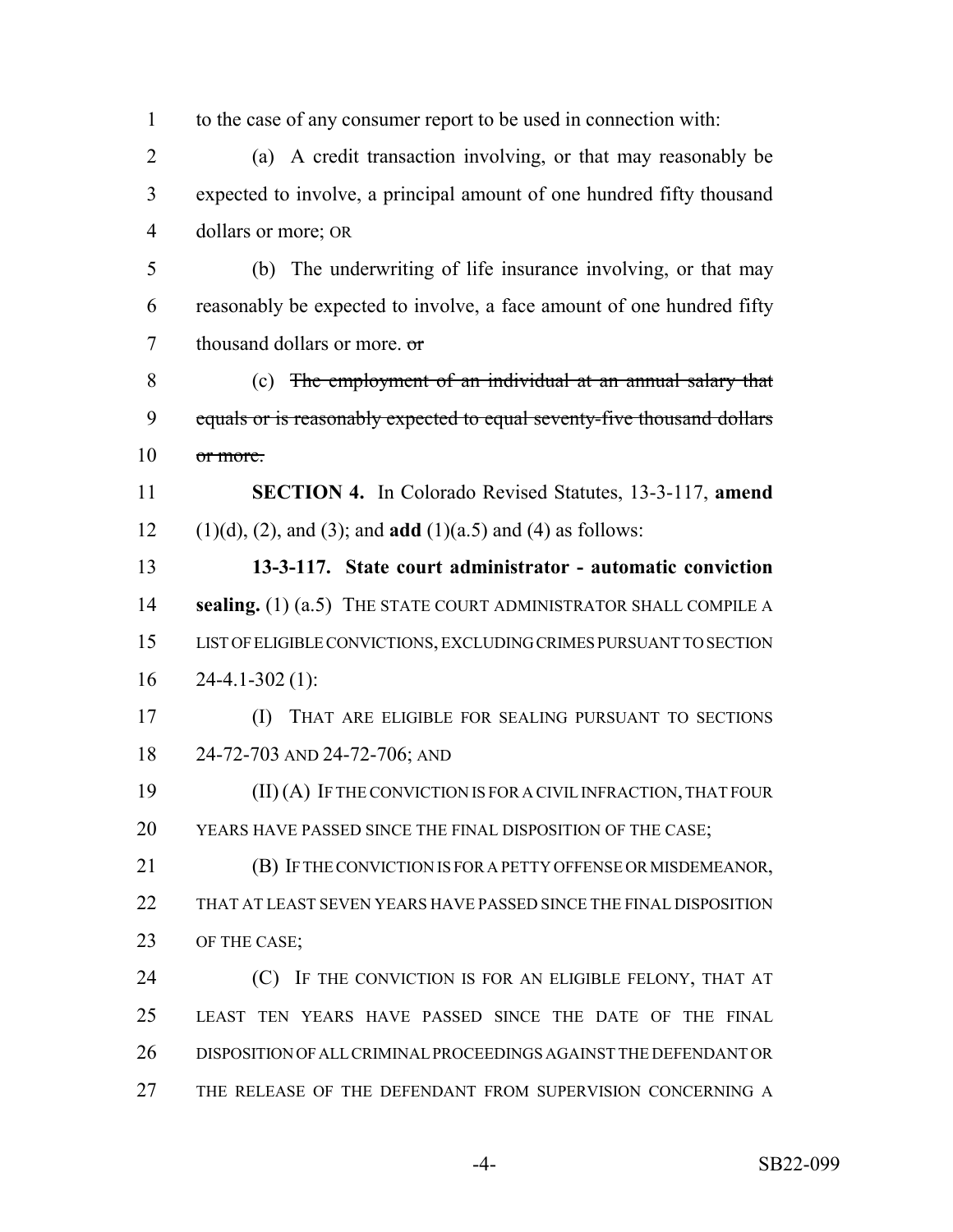| $\mathbf{1}$   | to the case of any consumer report to be used in connection with:              |
|----------------|--------------------------------------------------------------------------------|
| $\overline{2}$ | A credit transaction involving, or that may reasonably be<br>(a)               |
| 3              | expected to involve, a principal amount of one hundred fifty thousand          |
| $\overline{4}$ | dollars or more; OR                                                            |
| 5              | (b) The underwriting of life insurance involving, or that may                  |
| 6              | reasonably be expected to involve, a face amount of one hundred fifty          |
| $\overline{7}$ | thousand dollars or more. or                                                   |
| 8              | (c) The employment of an individual at an annual salary that                   |
| 9              | equals or is reasonably expected to equal seventy-five thousand dollars        |
| 10             | or more.                                                                       |
| 11             | <b>SECTION 4.</b> In Colorado Revised Statutes, 13-3-117, amend                |
| 12             | $(1)(d)$ , $(2)$ , and $(3)$ ; and <b>add</b> $(1)(a.5)$ and $(4)$ as follows: |
| 13             | 13-3-117. State court administrator - automatic conviction                     |
| 14             | sealing. (1) (a.5) THE STATE COURT ADMINISTRATOR SHALL COMPILE A               |
| 15             | LIST OF ELIGIBLE CONVICTIONS, EXCLUDING CRIMES PURSUANT TO SECTION             |
| 16             | $24-4.1-302(1)$ :                                                              |
| 17             | THAT ARE ELIGIBLE FOR SEALING PURSUANT TO SECTIONS<br>(I)                      |
| 18             | 24-72-703 AND 24-72-706; AND                                                   |
| 19             | $(II)$ $(A)$ If the conviction is for a civil infraction, that four            |
| 20             | YEARS HAVE PASSED SINCE THE FINAL DISPOSITION OF THE CASE;                     |
| 21             | (B) IF THE CONVICTION IS FOR A PETTY OFFENSE OR MISDEMEANOR,                   |
| 22             | THAT AT LEAST SEVEN YEARS HAVE PASSED SINCE THE FINAL DISPOSITION              |
| 23             | OF THE CASE;                                                                   |
| 24             | (C) IF THE CONVICTION IS FOR AN ELIGIBLE FELONY, THAT AT                       |
| 25             | LEAST TEN YEARS HAVE PASSED SINCE THE DATE OF THE FINAL                        |
| 26             | DISPOSITION OF ALL CRIMINAL PROCEEDINGS AGAINST THE DEFENDANT OR               |
| 27             | THE RELEASE OF THE DEFENDANT FROM SUPERVISION CONCERNING A                     |
|                |                                                                                |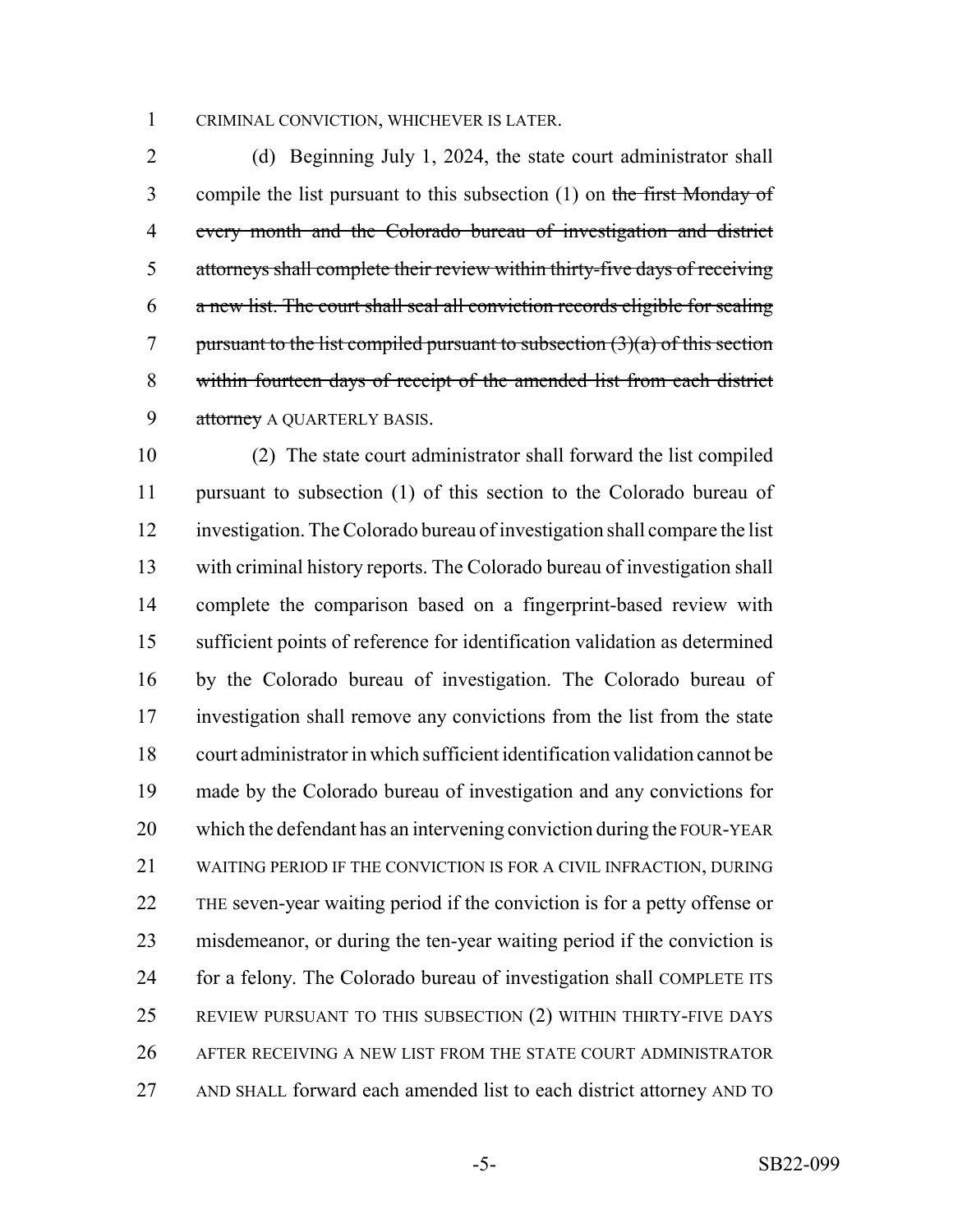### CRIMINAL CONVICTION, WHICHEVER IS LATER.

 (d) Beginning July 1, 2024, the state court administrator shall 3 compile the list pursuant to this subsection (1) on the first Monday of every month and the Colorado bureau of investigation and district attorneys shall complete their review within thirty-five days of receiving a new list. The court shall seal all conviction records eligible for sealing 7 pursuant to the list compiled pursuant to subsection  $(3)(a)$  of this section within fourteen days of receipt of the amended list from each district 9 attorney A QUARTERLY BASIS.

 (2) The state court administrator shall forward the list compiled pursuant to subsection (1) of this section to the Colorado bureau of investigation. The Colorado bureau of investigation shall compare the list with criminal history reports. The Colorado bureau of investigation shall complete the comparison based on a fingerprint-based review with sufficient points of reference for identification validation as determined by the Colorado bureau of investigation. The Colorado bureau of investigation shall remove any convictions from the list from the state court administrator in which sufficient identification validation cannot be made by the Colorado bureau of investigation and any convictions for which the defendant has an intervening conviction during the FOUR-YEAR WAITING PERIOD IF THE CONVICTION IS FOR A CIVIL INFRACTION, DURING THE seven-year waiting period if the conviction is for a petty offense or misdemeanor, or during the ten-year waiting period if the conviction is for a felony. The Colorado bureau of investigation shall COMPLETE ITS REVIEW PURSUANT TO THIS SUBSECTION (2) WITHIN THIRTY-FIVE DAYS AFTER RECEIVING A NEW LIST FROM THE STATE COURT ADMINISTRATOR AND SHALL forward each amended list to each district attorney AND TO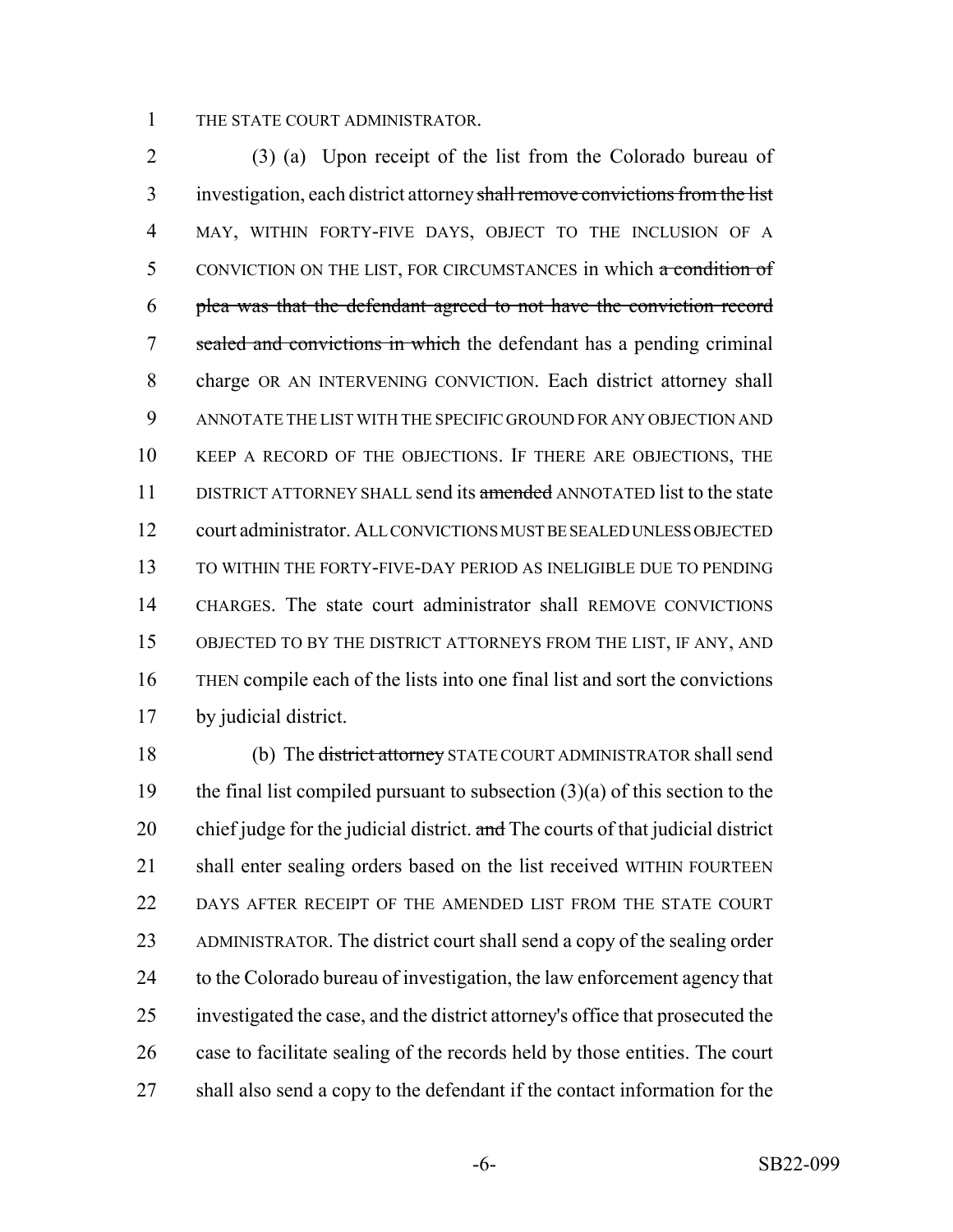#### THE STATE COURT ADMINISTRATOR.

 (3) (a) Upon receipt of the list from the Colorado bureau of investigation, each district attorney shall remove convictions from the list MAY, WITHIN FORTY-FIVE DAYS, OBJECT TO THE INCLUSION OF A 5 CONVICTION ON THE LIST, FOR CIRCUMSTANCES in which a condition of plea was that the defendant agreed to not have the conviction record 7 sealed and convictions in which the defendant has a pending criminal charge OR AN INTERVENING CONVICTION. Each district attorney shall ANNOTATE THE LIST WITH THE SPECIFIC GROUND FOR ANY OBJECTION AND KEEP A RECORD OF THE OBJECTIONS. IF THERE ARE OBJECTIONS, THE 11 DISTRICT ATTORNEY SHALL send its amended ANNOTATED list to the state court administrator. ALL CONVICTIONS MUST BE SEALED UNLESS OBJECTED TO WITHIN THE FORTY-FIVE-DAY PERIOD AS INELIGIBLE DUE TO PENDING CHARGES. The state court administrator shall REMOVE CONVICTIONS OBJECTED TO BY THE DISTRICT ATTORNEYS FROM THE LIST, IF ANY, AND THEN compile each of the lists into one final list and sort the convictions by judicial district.

18 (b) The district attorney STATE COURT ADMINISTRATOR shall send 19 the final list compiled pursuant to subsection  $(3)(a)$  of this section to the 20 chief judge for the judicial district. and The courts of that judicial district 21 shall enter sealing orders based on the list received WITHIN FOURTEEN 22 DAYS AFTER RECEIPT OF THE AMENDED LIST FROM THE STATE COURT ADMINISTRATOR. The district court shall send a copy of the sealing order 24 to the Colorado bureau of investigation, the law enforcement agency that investigated the case, and the district attorney's office that prosecuted the case to facilitate sealing of the records held by those entities. The court shall also send a copy to the defendant if the contact information for the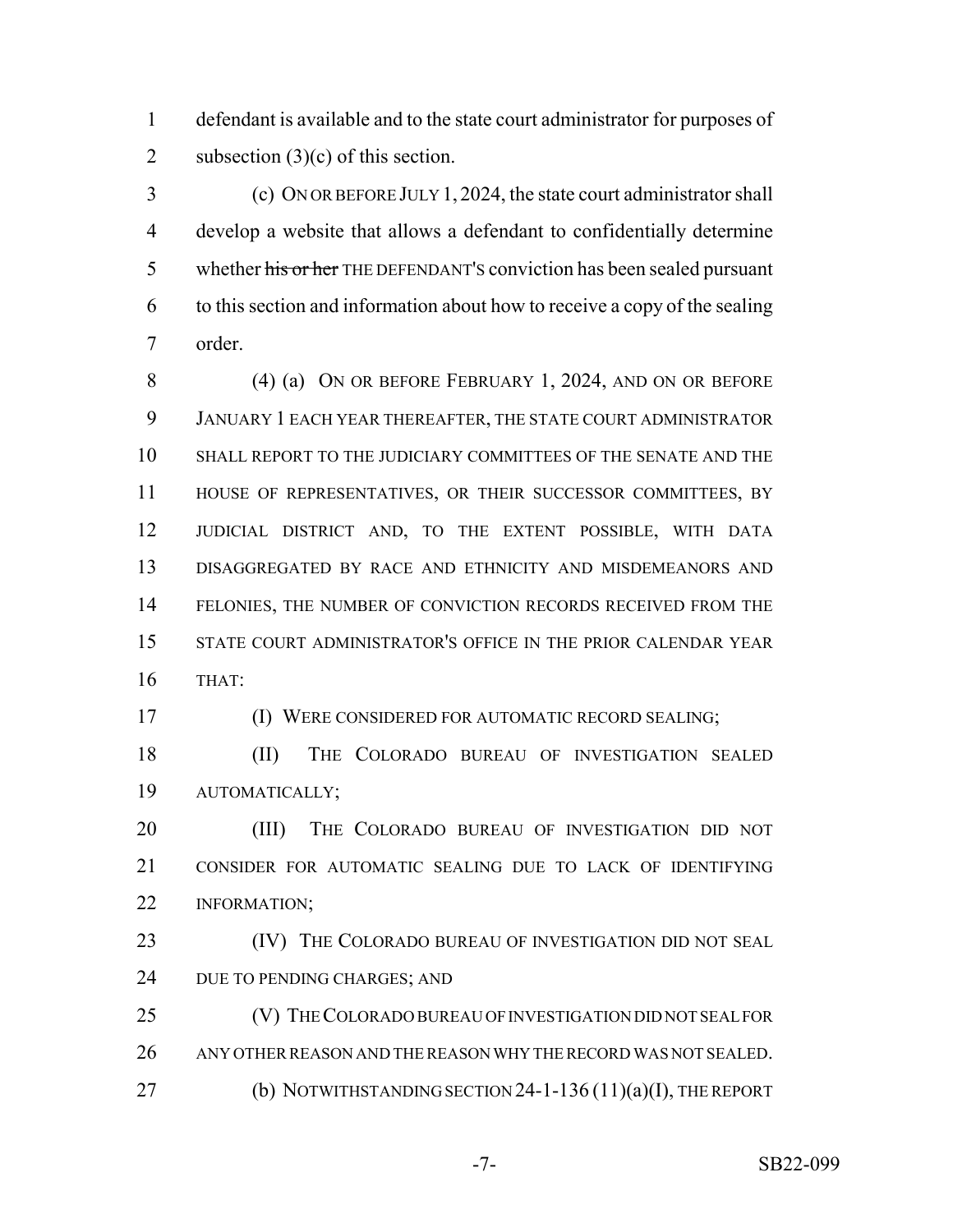defendant is available and to the state court administrator for purposes of 2 subsection  $(3)(c)$  of this section.

 (c) ON OR BEFORE JULY 1, 2024, the state court administrator shall develop a website that allows a defendant to confidentially determine 5 whether his or her THE DEFENDANT'S conviction has been sealed pursuant to this section and information about how to receive a copy of the sealing order.

 (4) (a) ON OR BEFORE FEBRUARY 1, 2024, AND ON OR BEFORE JANUARY 1 EACH YEAR THEREAFTER, THE STATE COURT ADMINISTRATOR SHALL REPORT TO THE JUDICIARY COMMITTEES OF THE SENATE AND THE HOUSE OF REPRESENTATIVES, OR THEIR SUCCESSOR COMMITTEES, BY JUDICIAL DISTRICT AND, TO THE EXTENT POSSIBLE, WITH DATA DISAGGREGATED BY RACE AND ETHNICITY AND MISDEMEANORS AND 14 FELONIES, THE NUMBER OF CONVICTION RECORDS RECEIVED FROM THE STATE COURT ADMINISTRATOR'S OFFICE IN THE PRIOR CALENDAR YEAR THAT:

(I) WERE CONSIDERED FOR AUTOMATIC RECORD SEALING;

 (II) THE COLORADO BUREAU OF INVESTIGATION SEALED AUTOMATICALLY;

 (III) THE COLORADO BUREAU OF INVESTIGATION DID NOT CONSIDER FOR AUTOMATIC SEALING DUE TO LACK OF IDENTIFYING INFORMATION;

**(IV)** THE COLORADO BUREAU OF INVESTIGATION DID NOT SEAL 24 DUE TO PENDING CHARGES; AND

 (V) THE COLORADO BUREAU OF INVESTIGATION DID NOT SEAL FOR ANY OTHER REASON AND THE REASON WHY THE RECORD WAS NOT SEALED. 27 (b) NOTWITHSTANDING SECTION 24-1-136 (11)(a)(I), THE REPORT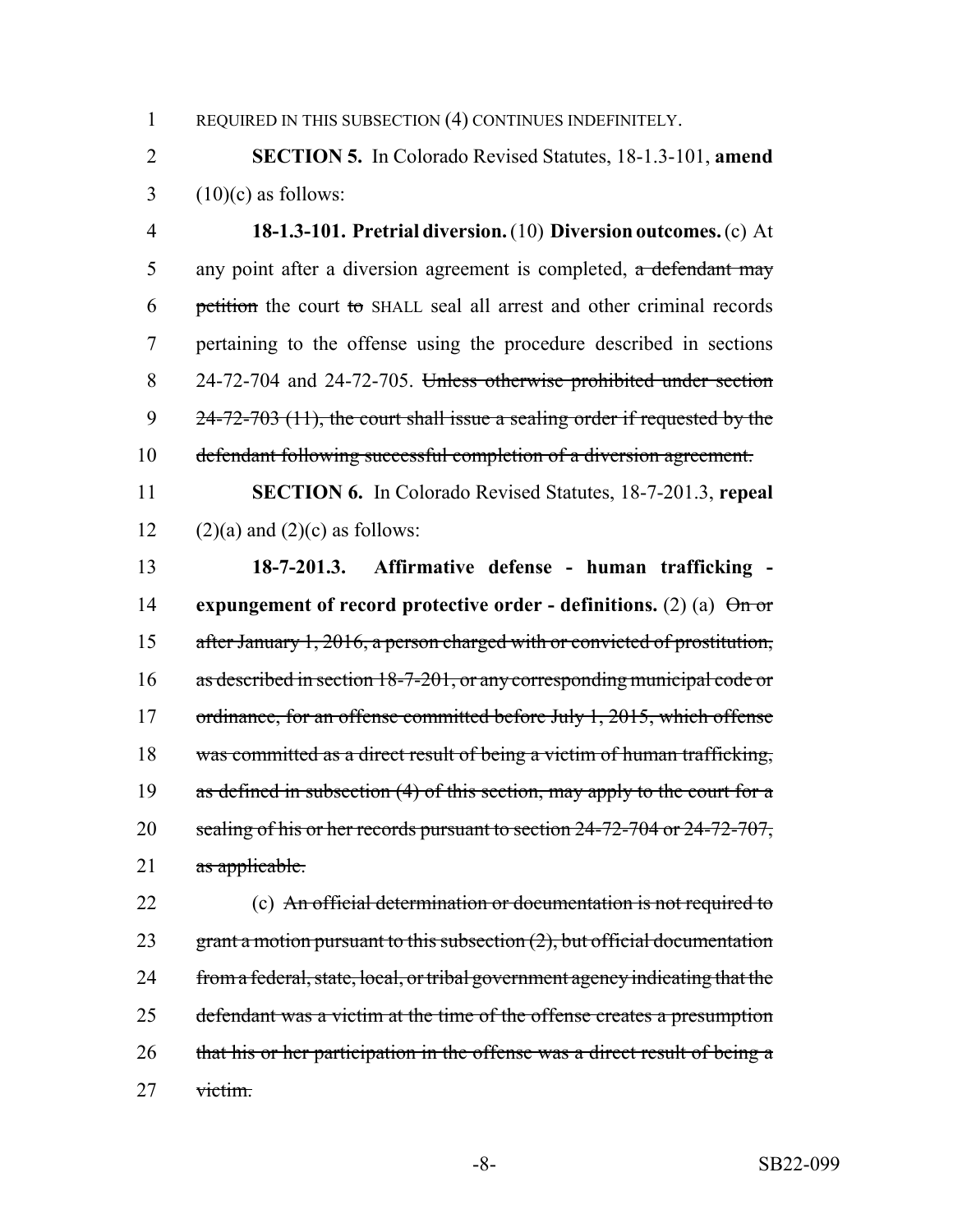1 REQUIRED IN THIS SUBSECTION (4) CONTINUES INDEFINITELY.

2 **SECTION 5.** In Colorado Revised Statutes, 18-1.3-101, **amend**  $3 \quad (10)(c)$  as follows:

 **18-1.3-101. Pretrial diversion.** (10) **Diversion outcomes.** (c) At 5 any point after a diversion agreement is completed, a defendant may petition the court to SHALL seal all arrest and other criminal records pertaining to the offense using the procedure described in sections 24-72-704 and 24-72-705. Unless otherwise prohibited under section  $24-72-703$  (11), the court shall issue a sealing order if requested by the defendant following successful completion of a diversion agreement.

11 **SECTION 6.** In Colorado Revised Statutes, 18-7-201.3, **repeal** 12 (2)(a) and (2)(c) as follows:

13 **18-7-201.3. Affirmative defense - human trafficking -** 14 **expungement of record protective order - definitions.** (2) (a) On or 15 after January 1, 2016, a person charged with or convicted of prostitution, 16 as described in section 18-7-201, or any corresponding municipal code or 17 ordinance, for an offense committed before July 1, 2015, which offense 18 was committed as a direct result of being a victim of human trafficking, 19 as defined in subsection (4) of this section, may apply to the court for a 20 sealing of his or her records pursuant to section 24-72-704 or 24-72-707, 21 as applicable.

22 (c) An official determination or documentation is not required to 23 grant a motion pursuant to this subsection  $(2)$ , but official documentation 24 from a federal, state, local, or tribal government agency indicating that the 25 defendant was a victim at the time of the offense creates a presumption 26 that his or her participation in the offense was a direct result of being a 27 victim.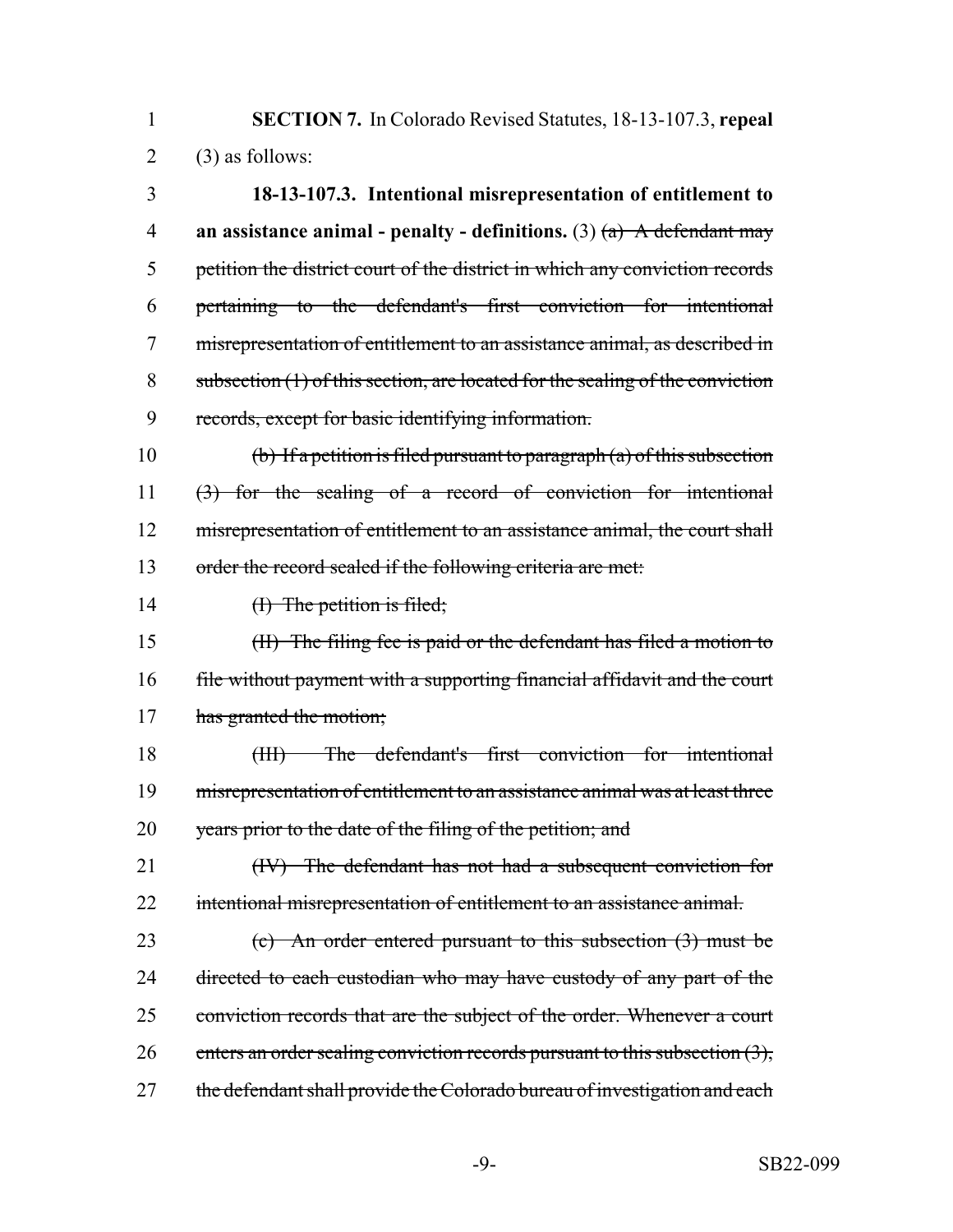1 **SECTION 7.** In Colorado Revised Statutes, 18-13-107.3, **repeal**  $2 \qquad (3)$  as follows:

 **18-13-107.3. Intentional misrepresentation of entitlement to an assistance animal - penalty - definitions.** (3) (a) A defendant may petition the district court of the district in which any conviction records pertaining to the defendant's first conviction for intentional misrepresentation of entitlement to an assistance animal, as described in subsection (1) of this section, are located for the sealing of the conviction records, except for basic identifying information.

10 (b) If a petition is filed pursuant to paragraph  $(a)$  of this subsection 11 (3) for the sealing of a record of conviction for intentional 12 misrepresentation of entitlement to an assistance animal, the court shall 13 order the record sealed if the following criteria are met:

14 (I) The petition is filed;

15 (II) The filing fee is paid or the defendant has filed a motion to 16 file without payment with a supporting financial affidavit and the court 17 has granted the motion;

18 (III) The defendant's first conviction for intentional 19 misrepresentation of entitlement to an assistance animal was at least three 20 years prior to the date of the filing of the petition; and

21 (IV) The defendant has not had a subsequent conviction for 22 intentional misrepresentation of entitlement to an assistance animal.

23 (c) An order entered pursuant to this subsection (3) must be 24 directed to each custodian who may have custody of any part of the 25 conviction records that are the subject of the order. Whenever a court 26 enters an order sealing conviction records pursuant to this subsection  $(3)$ , 27 the defendant shall provide the Colorado bureau of investigation and each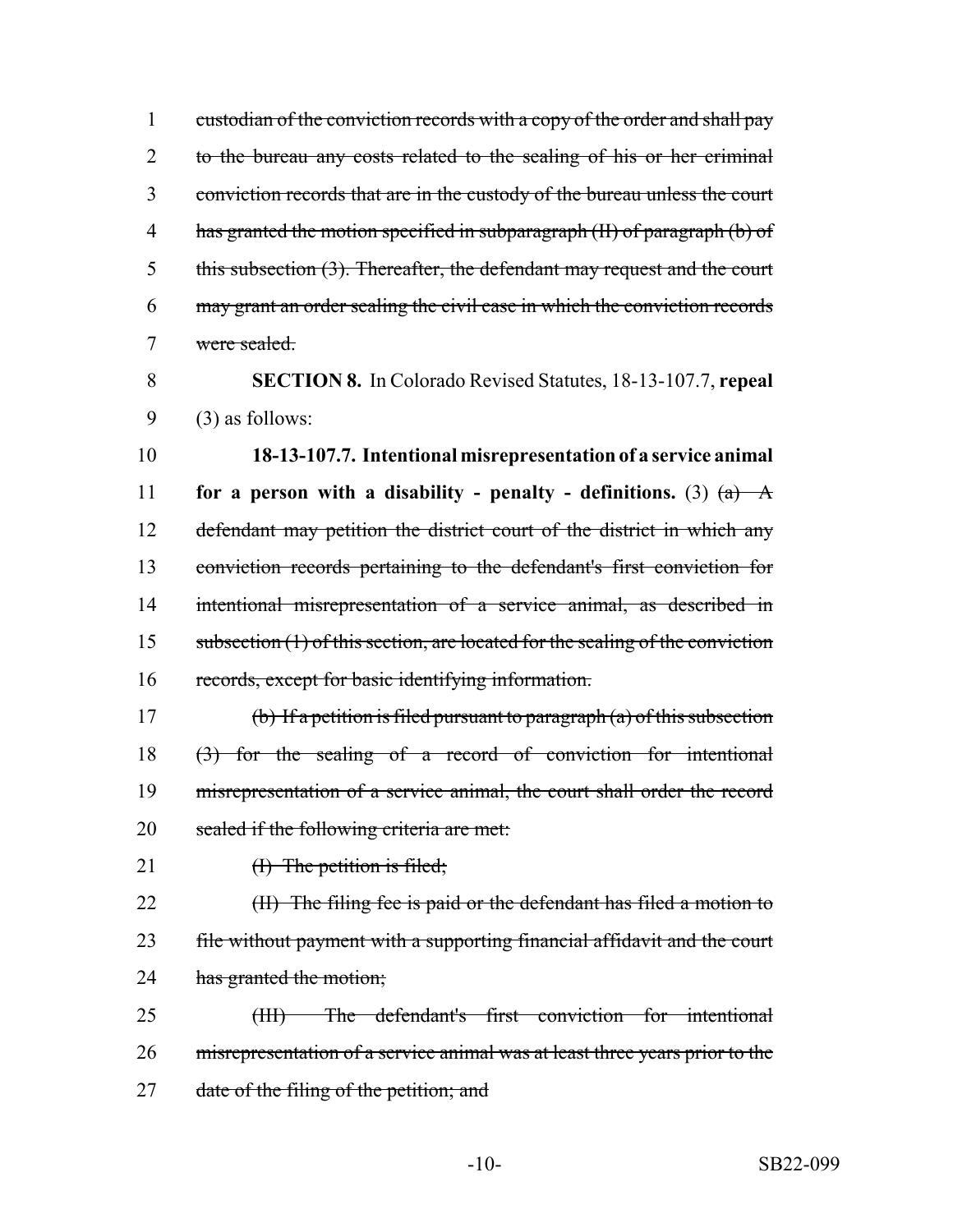1 custodian of the conviction records with a copy of the order and shall pay 2 to the bureau any costs related to the sealing of his or her criminal 3 conviction records that are in the custody of the bureau unless the court 4 has granted the motion specified in subparagraph (II) of paragraph (b) of 5 this subsection (3). Thereafter, the defendant may request and the court 6 may grant an order sealing the civil case in which the conviction records 7 were sealed.

8 **SECTION 8.** In Colorado Revised Statutes, 18-13-107.7, **repeal** 9 (3) as follows:

 **18-13-107.7. Intentional misrepresentation of a service animal for a person with a disability - penalty - definitions.** (3)  $(a)$   $\rightarrow$ 12 defendant may petition the district court of the district in which any conviction records pertaining to the defendant's first conviction for intentional misrepresentation of a service animal, as described in 15 subsection (1) of this section, are located for the sealing of the conviction records, except for basic identifying information.

17 (b) If a petition is filed pursuant to paragraph (a) of this subsection 18 (3) for the sealing of a record of conviction for intentional 19 misrepresentation of a service animal, the court shall order the record 20 sealed if the following criteria are met:

21 (I) The petition is filed;

22 (II) The filing fee is paid or the defendant has filed a motion to 23 file without payment with a supporting financial affidavit and the court 24 has granted the motion;

25 (III) The defendant's first conviction for intentional 26 misrepresentation of a service animal was at least three years prior to the 27 date of the filing of the petition; and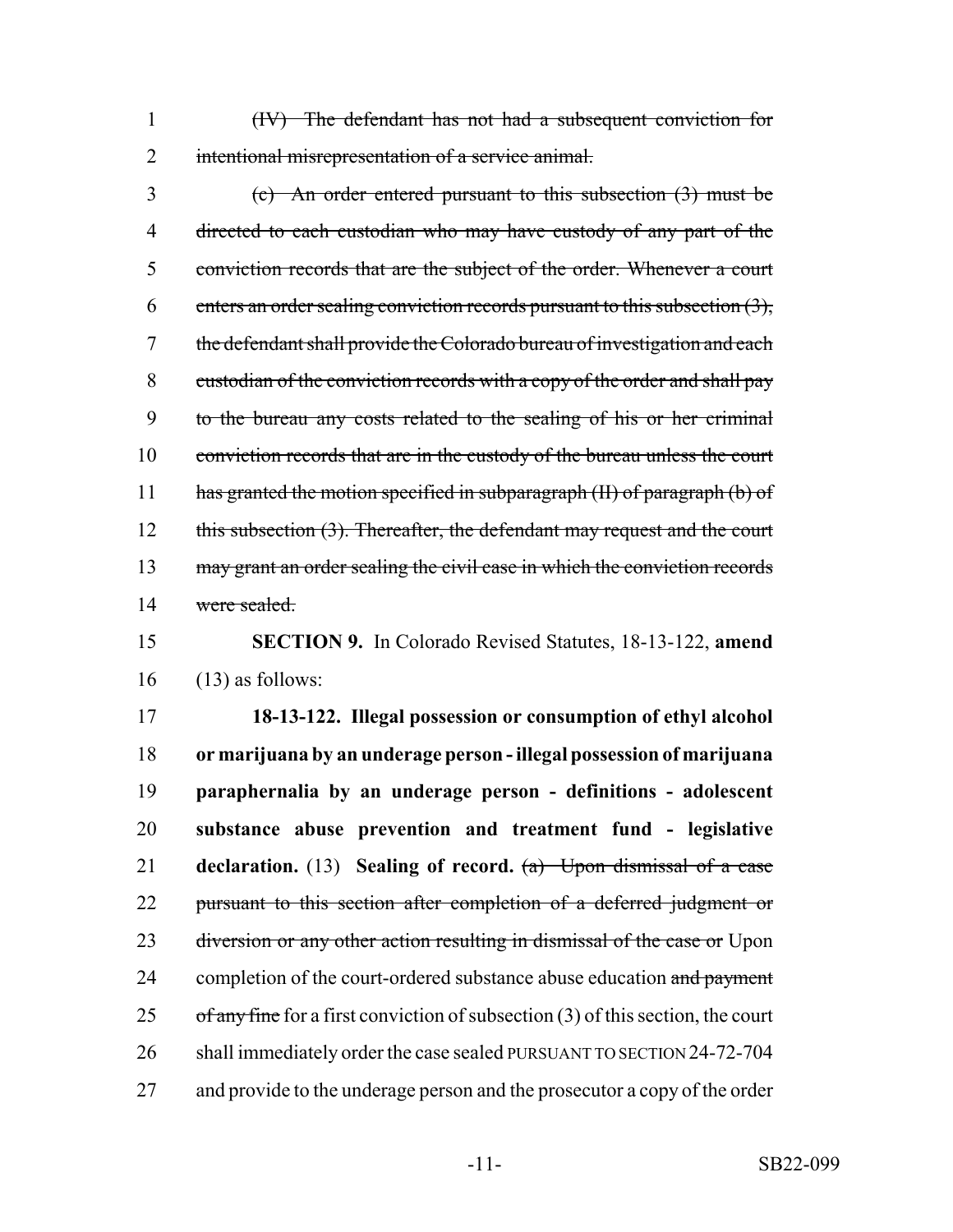1 (IV) The defendant has not had a subsequent conviction for 2 intentional misrepresentation of a service animal.

3 (c) An order entered pursuant to this subsection (3) must be 4 directed to each custodian who may have custody of any part of the 5 conviction records that are the subject of the order. Whenever a court 6 enters an order sealing conviction records pursuant to this subsection  $(3)$ , 7 the defendant shall provide the Colorado bureau of investigation and each 8 custodian of the conviction records with a copy of the order and shall pay 9 to the bureau any costs related to the sealing of his or her criminal 10 conviction records that are in the custody of the bureau unless the court 11 has granted the motion specified in subparagraph (II) of paragraph (b) of 12 this subsection (3). Thereafter, the defendant may request and the court 13 may grant an order sealing the civil case in which the conviction records 14 were sealed.

15 **SECTION 9.** In Colorado Revised Statutes, 18-13-122, **amend**  $16$  (13) as follows:

17 **18-13-122. Illegal possession or consumption of ethyl alcohol** 18 **or marijuana by an underage person - illegal possession of marijuana** 19 **paraphernalia by an underage person - definitions - adolescent** 20 **substance abuse prevention and treatment fund - legislative** 21 **declaration.** (13) **Sealing of record.** (a) Upon dismissal of a case 22 pursuant to this section after completion of a deferred judgment or 23 diversion or any other action resulting in dismissal of the case or Upon 24 completion of the court-ordered substance abuse education and payment 25 of any fine for a first conviction of subsection  $(3)$  of this section, the court 26 shall immediately order the case sealed PURSUANT TO SECTION 24-72-704 27 and provide to the underage person and the prosecutor a copy of the order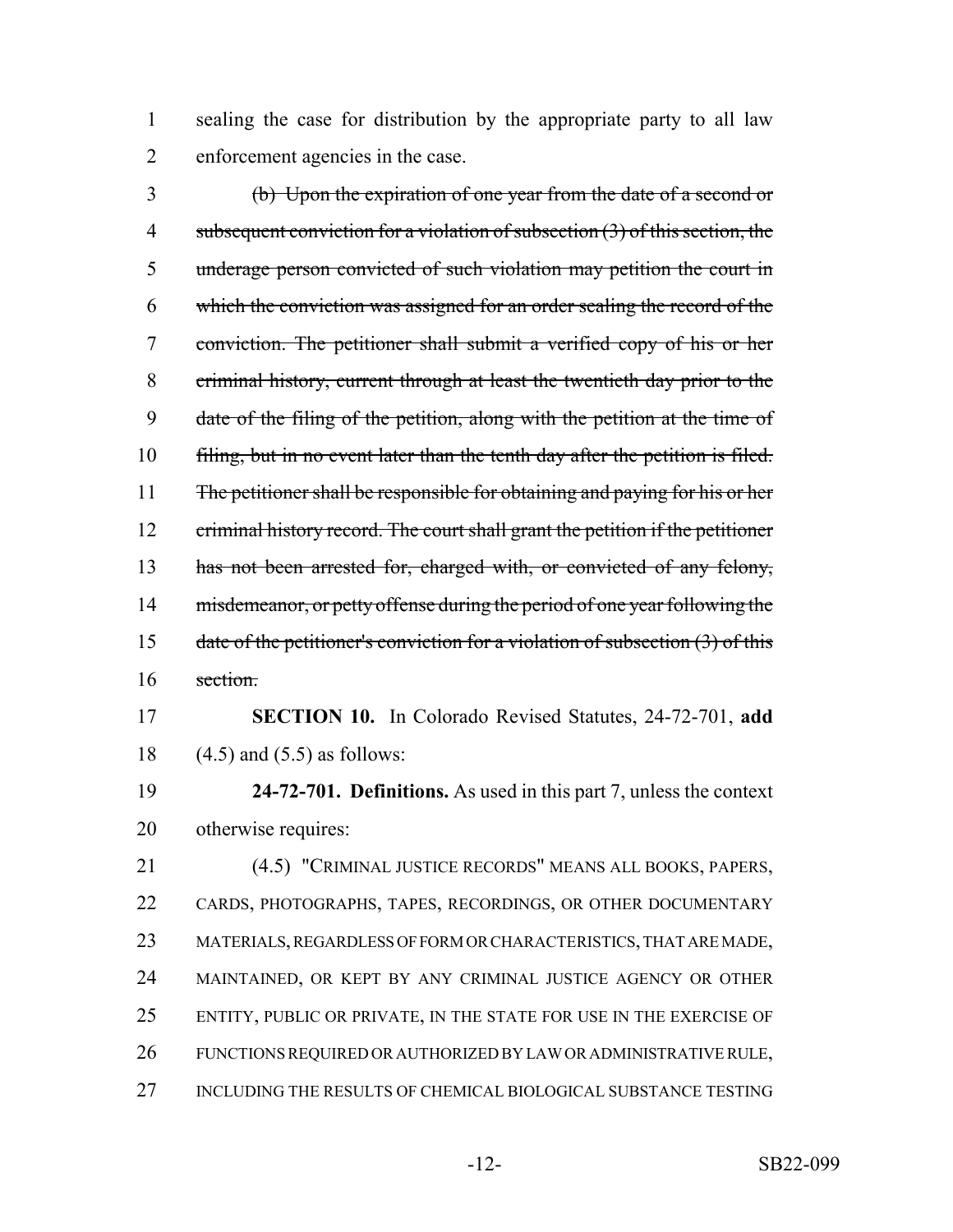sealing the case for distribution by the appropriate party to all law enforcement agencies in the case.

 (b) Upon the expiration of one year from the date of a second or 4 subsequent conviction for a violation of subsection (3) of this section, the underage person convicted of such violation may petition the court in which the conviction was assigned for an order sealing the record of the conviction. The petitioner shall submit a verified copy of his or her criminal history, current through at least the twentieth day prior to the date of the filing of the petition, along with the petition at the time of 10 filing, but in no event later than the tenth day after the petition is filed. 11 The petitioner shall be responsible for obtaining and paying for his or her 12 criminal history record. The court shall grant the petition if the petitioner 13 has not been arrested for, charged with, or convicted of any felony, 14 misdemeanor, or petty offense during the period of one year following the 15 date of the petitioner's conviction for a violation of subsection  $(3)$  of this section.

 **SECTION 10.** In Colorado Revised Statutes, 24-72-701, **add** (4.5) and (5.5) as follows:

 **24-72-701. Definitions.** As used in this part 7, unless the context otherwise requires:

 (4.5) "CRIMINAL JUSTICE RECORDS" MEANS ALL BOOKS, PAPERS, CARDS, PHOTOGRAPHS, TAPES, RECORDINGS, OR OTHER DOCUMENTARY MATERIALS, REGARDLESS OF FORM OR CHARACTERISTICS, THAT ARE MADE, MAINTAINED, OR KEPT BY ANY CRIMINAL JUSTICE AGENCY OR OTHER 25 ENTITY, PUBLIC OR PRIVATE, IN THE STATE FOR USE IN THE EXERCISE OF FUNCTIONS REQUIRED OR AUTHORIZED BY LAW OR ADMINISTRATIVE RULE, INCLUDING THE RESULTS OF CHEMICAL BIOLOGICAL SUBSTANCE TESTING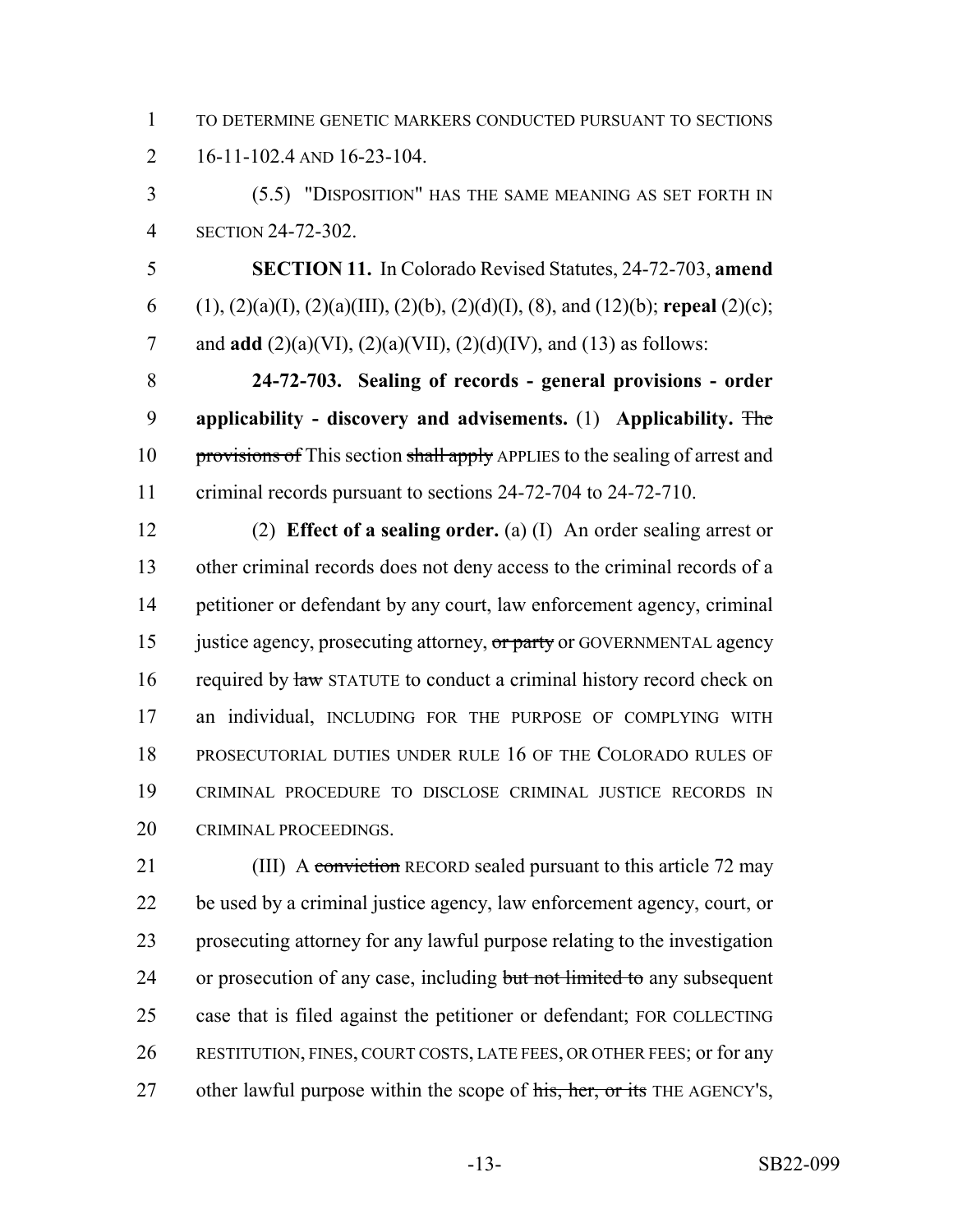TO DETERMINE GENETIC MARKERS CONDUCTED PURSUANT TO SECTIONS 16-11-102.4 AND 16-23-104.

 (5.5) "DISPOSITION" HAS THE SAME MEANING AS SET FORTH IN SECTION 24-72-302.

 **SECTION 11.** In Colorado Revised Statutes, 24-72-703, **amend** (1), (2)(a)(I), (2)(a)(III), (2)(b), (2)(d)(I), (8), and (12)(b); **repeal** (2)(c); and **add** (2)(a)(VI), (2)(a)(VII), (2)(d)(IV), and (13) as follows:

 **24-72-703. Sealing of records - general provisions - order applicability - discovery and advisements.** (1) **Applicability.** The 10 provisions of This section shall apply APPLIES to the sealing of arrest and criminal records pursuant to sections 24-72-704 to 24-72-710.

 (2) **Effect of a sealing order.** (a) (I) An order sealing arrest or other criminal records does not deny access to the criminal records of a petitioner or defendant by any court, law enforcement agency, criminal 15 justice agency, prosecuting attorney, or party or GOVERNMENTAL agency 16 required by law STATUTE to conduct a criminal history record check on an individual, INCLUDING FOR THE PURPOSE OF COMPLYING WITH PROSECUTORIAL DUTIES UNDER RULE 16 OF THE COLORADO RULES OF CRIMINAL PROCEDURE TO DISCLOSE CRIMINAL JUSTICE RECORDS IN CRIMINAL PROCEEDINGS.

21 (III) A conviction RECORD sealed pursuant to this article 72 may be used by a criminal justice agency, law enforcement agency, court, or prosecuting attorney for any lawful purpose relating to the investigation 24 or prosecution of any case, including but not limited to any subsequent case that is filed against the petitioner or defendant; FOR COLLECTING RESTITUTION, FINES, COURT COSTS, LATE FEES, OR OTHER FEES; or for any 27 other lawful purpose within the scope of his, her, or its THE AGENCY's,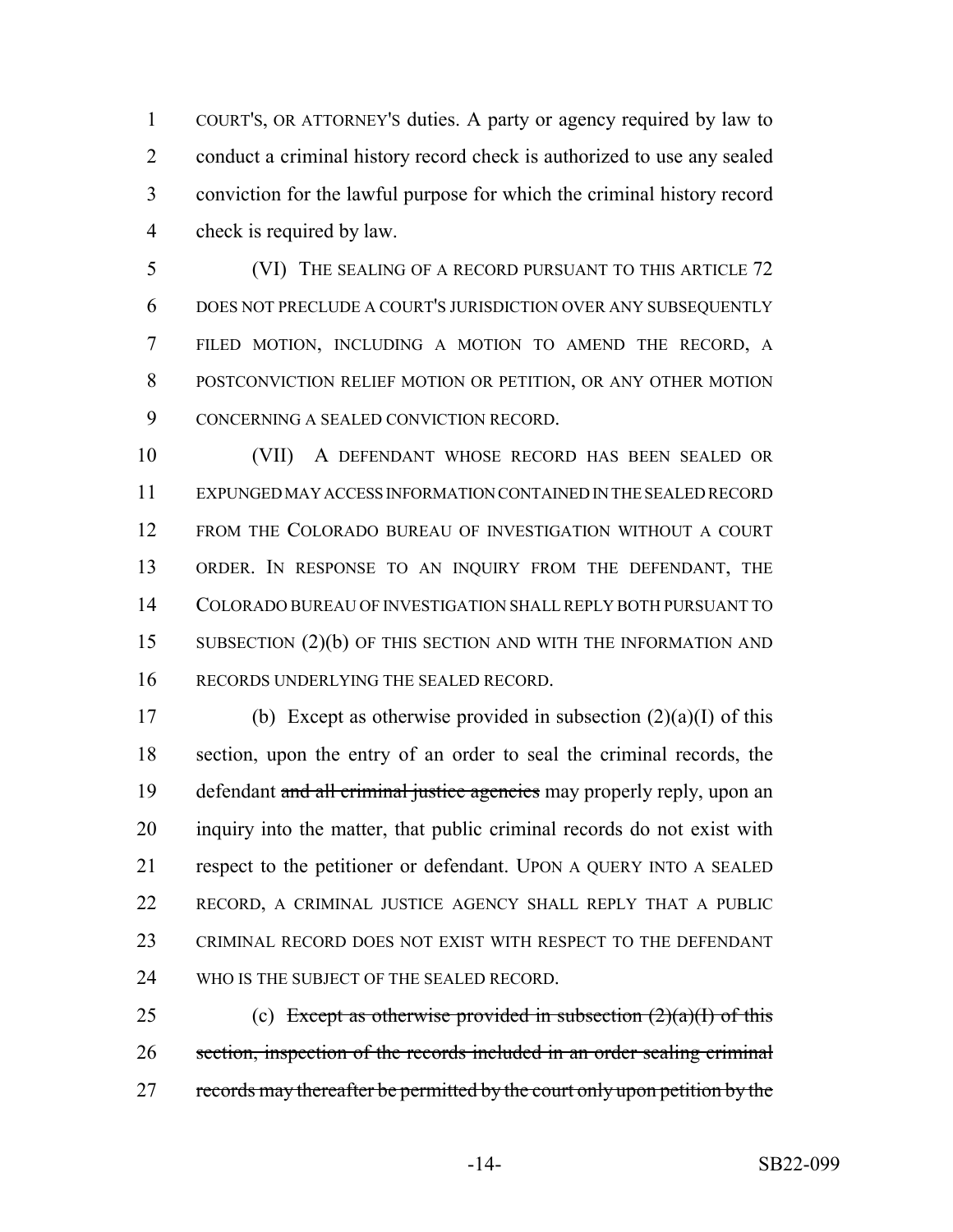COURT'S, OR ATTORNEY'S duties. A party or agency required by law to conduct a criminal history record check is authorized to use any sealed conviction for the lawful purpose for which the criminal history record check is required by law.

 (VI) THE SEALING OF A RECORD PURSUANT TO THIS ARTICLE 72 DOES NOT PRECLUDE A COURT'S JURISDICTION OVER ANY SUBSEQUENTLY FILED MOTION, INCLUDING A MOTION TO AMEND THE RECORD, A POSTCONVICTION RELIEF MOTION OR PETITION, OR ANY OTHER MOTION CONCERNING A SEALED CONVICTION RECORD.

 (VII) A DEFENDANT WHOSE RECORD HAS BEEN SEALED OR EXPUNGED MAY ACCESS INFORMATION CONTAINED IN THE SEALED RECORD FROM THE COLORADO BUREAU OF INVESTIGATION WITHOUT A COURT ORDER. IN RESPONSE TO AN INQUIRY FROM THE DEFENDANT, THE COLORADO BUREAU OF INVESTIGATION SHALL REPLY BOTH PURSUANT TO 15 SUBSECTION (2)(b) OF THIS SECTION AND WITH THE INFORMATION AND RECORDS UNDERLYING THE SEALED RECORD.

17 (b) Except as otherwise provided in subsection  $(2)(a)(I)$  of this section, upon the entry of an order to seal the criminal records, the 19 defendant and all criminal justice agencies may properly reply, upon an inquiry into the matter, that public criminal records do not exist with respect to the petitioner or defendant. UPON A QUERY INTO A SEALED RECORD, A CRIMINAL JUSTICE AGENCY SHALL REPLY THAT A PUBLIC CRIMINAL RECORD DOES NOT EXIST WITH RESPECT TO THE DEFENDANT 24 WHO IS THE SUBJECT OF THE SEALED RECORD.

25 (c) Except as otherwise provided in subsection  $(2)(a)(I)$  of this section, inspection of the records included in an order sealing criminal 27 records may thereafter be permitted by the court only upon petition by the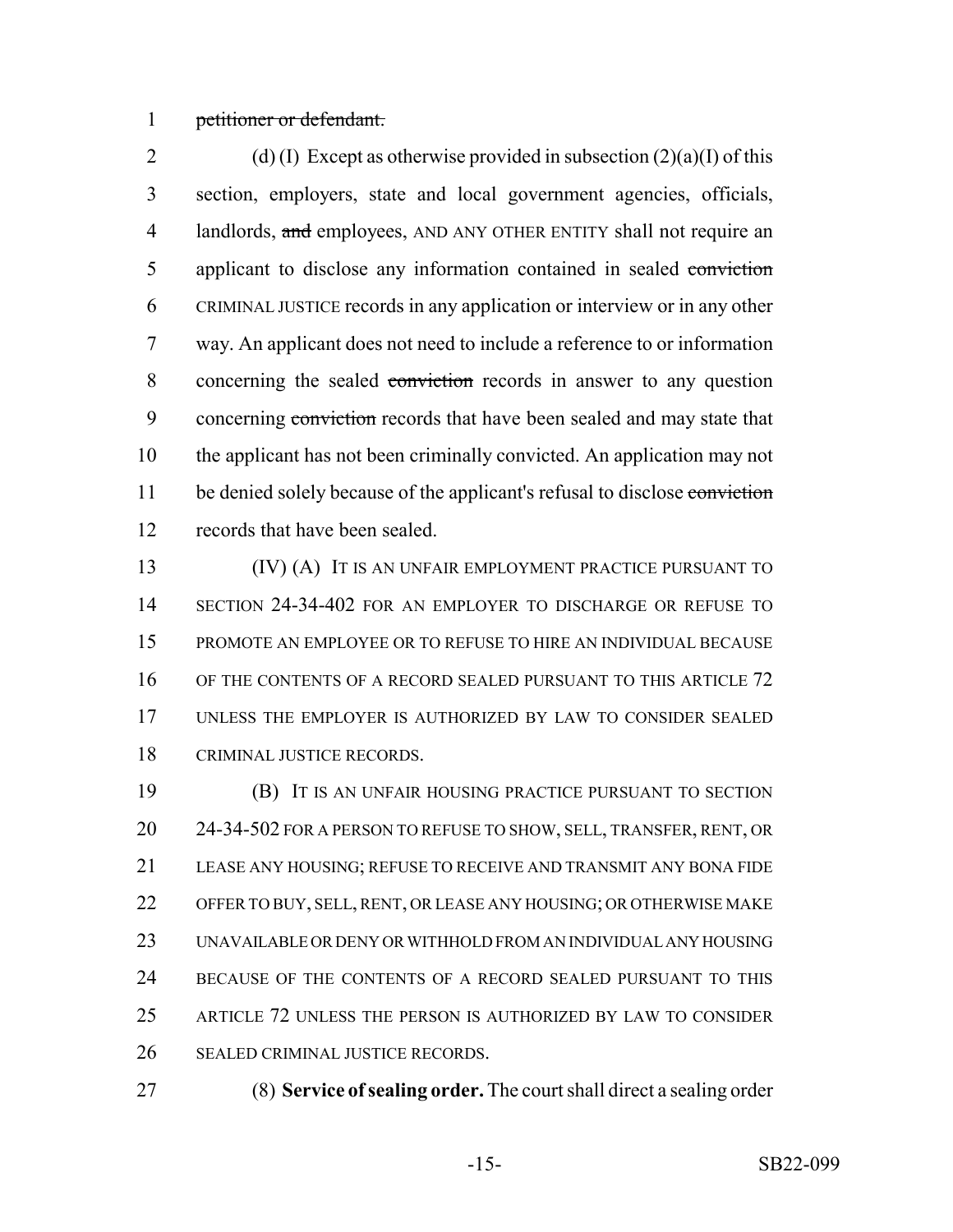#### petitioner or defendant.

2 (d) (I) Except as otherwise provided in subsection  $(2)(a)(I)$  of this section, employers, state and local government agencies, officials, 4 landlords, and employees, AND ANY OTHER ENTITY shall not require an 5 applicant to disclose any information contained in sealed conviction CRIMINAL JUSTICE records in any application or interview or in any other way. An applicant does not need to include a reference to or information 8 concerning the sealed conviction records in answer to any question 9 concerning conviction records that have been sealed and may state that the applicant has not been criminally convicted. An application may not 11 be denied solely because of the applicant's refusal to disclose conviction records that have been sealed.

 (IV) (A) IT IS AN UNFAIR EMPLOYMENT PRACTICE PURSUANT TO SECTION 24-34-402 FOR AN EMPLOYER TO DISCHARGE OR REFUSE TO PROMOTE AN EMPLOYEE OR TO REFUSE TO HIRE AN INDIVIDUAL BECAUSE OF THE CONTENTS OF A RECORD SEALED PURSUANT TO THIS ARTICLE 72 UNLESS THE EMPLOYER IS AUTHORIZED BY LAW TO CONSIDER SEALED CRIMINAL JUSTICE RECORDS.

 (B) IT IS AN UNFAIR HOUSING PRACTICE PURSUANT TO SECTION 20 24-34-502 FOR A PERSON TO REFUSE TO SHOW, SELL, TRANSFER, RENT, OR LEASE ANY HOUSING; REFUSE TO RECEIVE AND TRANSMIT ANY BONA FIDE OFFER TO BUY, SELL, RENT, OR LEASE ANY HOUSING; OR OTHERWISE MAKE UNAVAILABLE OR DENY OR WITHHOLD FROM AN INDIVIDUAL ANY HOUSING BECAUSE OF THE CONTENTS OF A RECORD SEALED PURSUANT TO THIS ARTICLE 72 UNLESS THE PERSON IS AUTHORIZED BY LAW TO CONSIDER SEALED CRIMINAL JUSTICE RECORDS.

(8) **Service of sealing order.** The court shall direct a sealing order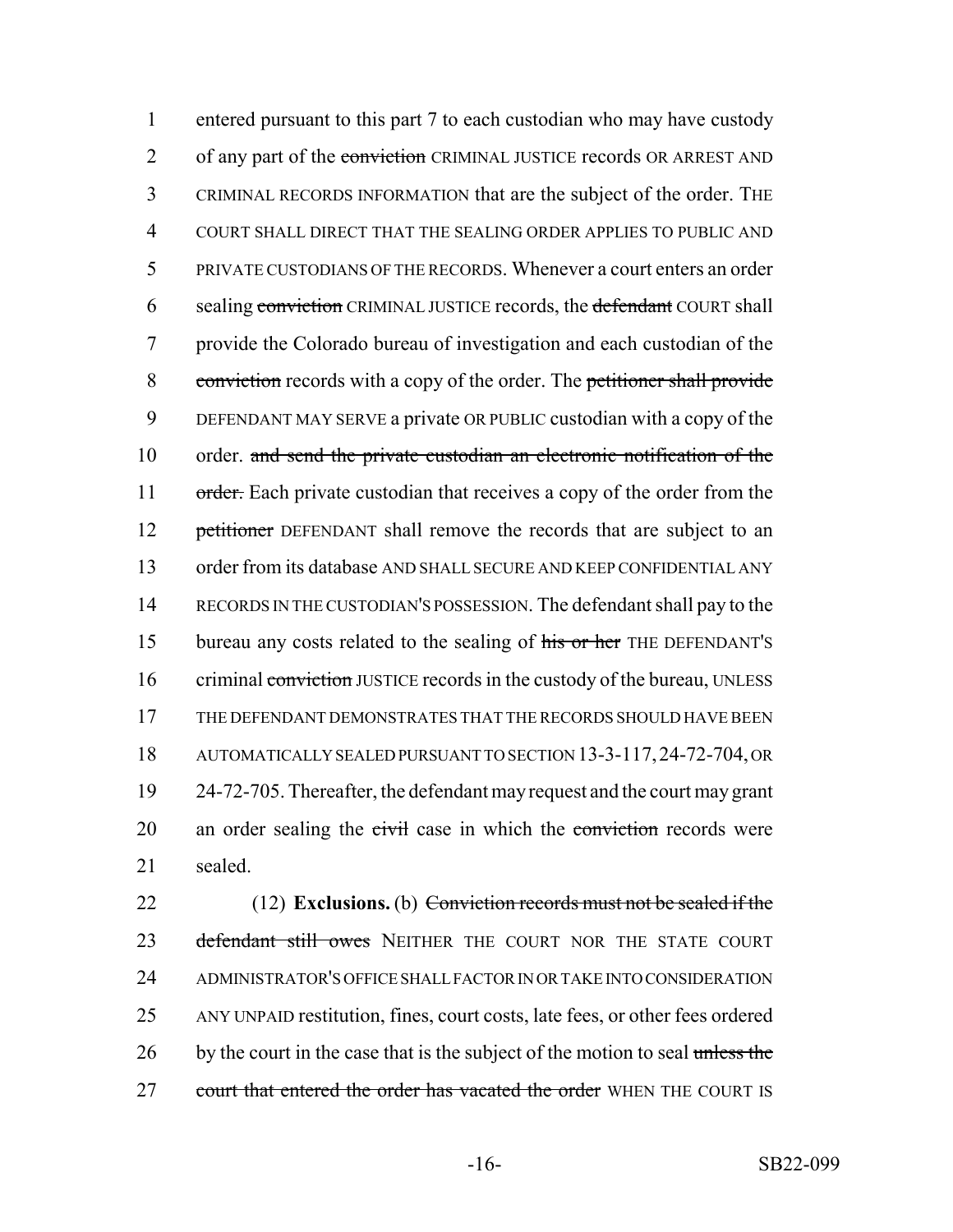1 entered pursuant to this part 7 to each custodian who may have custody 2 of any part of the conviction CRIMINAL JUSTICE records OR ARREST AND 3 CRIMINAL RECORDS INFORMATION that are the subject of the order. THE 4 COURT SHALL DIRECT THAT THE SEALING ORDER APPLIES TO PUBLIC AND 5 PRIVATE CUSTODIANS OF THE RECORDS. Whenever a court enters an order 6 sealing conviction CRIMINAL JUSTICE records, the defendant COURT shall 7 provide the Colorado bureau of investigation and each custodian of the 8 conviction records with a copy of the order. The petitioner shall provide 9 DEFENDANT MAY SERVE a private OR PUBLIC custodian with a copy of the 10 order. and send the private custodian an electronic notification of the 11 order. Each private custodian that receives a copy of the order from the 12 petitioner DEFENDANT shall remove the records that are subject to an 13 order from its database AND SHALL SECURE AND KEEP CONFIDENTIAL ANY 14 RECORDS IN THE CUSTODIAN'S POSSESSION. The defendant shall pay to the 15 bureau any costs related to the sealing of his or her THE DEFENDANT's 16 criminal conviction JUSTICE records in the custody of the bureau, UNLESS 17 THE DEFENDANT DEMONSTRATES THAT THE RECORDS SHOULD HAVE BEEN 18 AUTOMATICALLY SEALED PURSUANT TO SECTION 13-3-117,24-72-704, OR 19 24-72-705. Thereafter, the defendant may request and the court may grant 20 an order sealing the civil case in which the conviction records were 21 sealed.

22 (12) **Exclusions.** (b) Conviction records must not be sealed if the 23 defendant still owes NEITHER THE COURT NOR THE STATE COURT 24 ADMINISTRATOR'S OFFICE SHALL FACTOR IN OR TAKE INTO CONSIDERATION 25 ANY UNPAID restitution, fines, court costs, late fees, or other fees ordered 26 by the court in the case that is the subject of the motion to seal unless the 27 court that entered the order has vacated the order WHEN THE COURT IS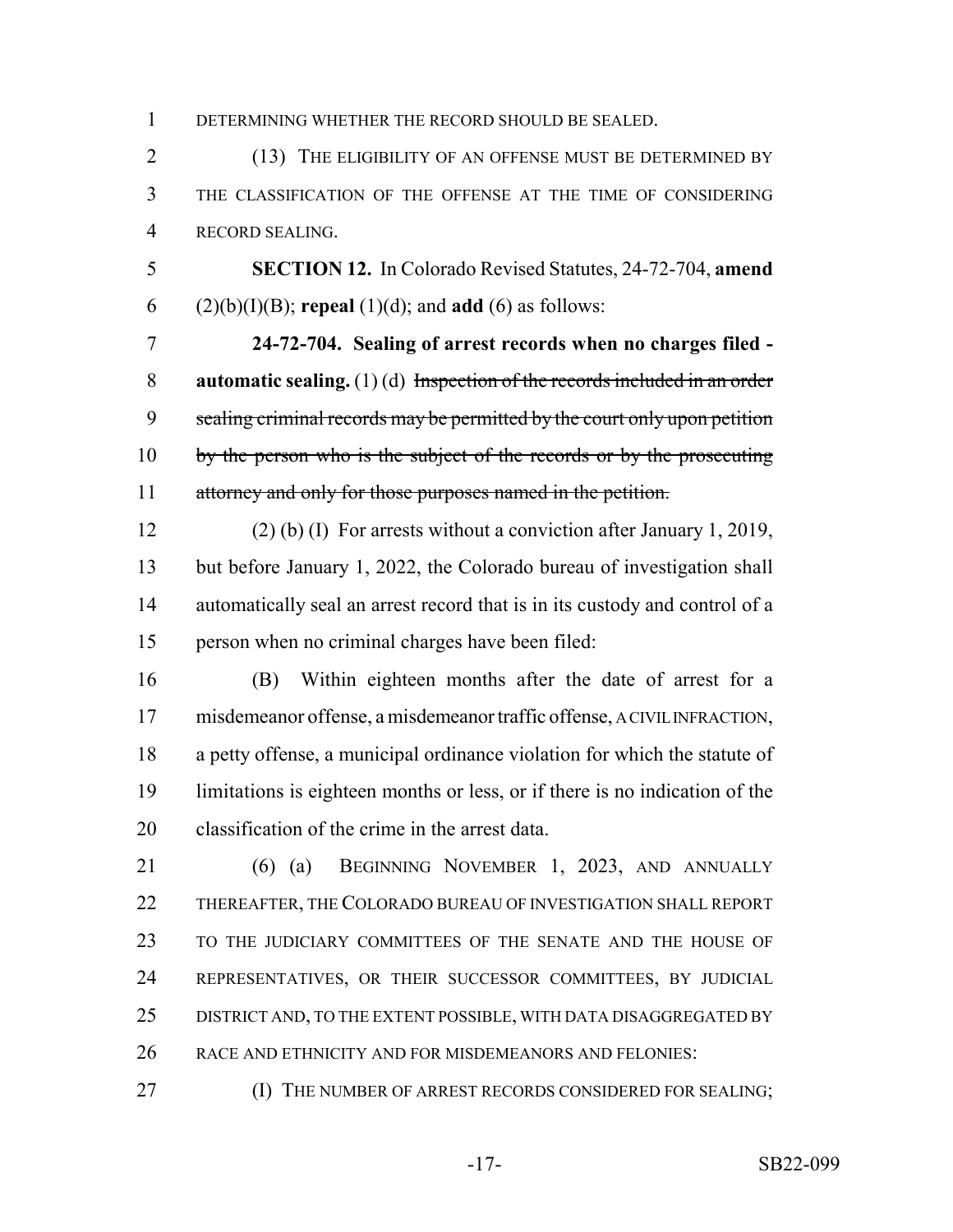DETERMINING WHETHER THE RECORD SHOULD BE SEALED.

2 (13) THE ELIGIBILITY OF AN OFFENSE MUST BE DETERMINED BY THE CLASSIFICATION OF THE OFFENSE AT THE TIME OF CONSIDERING RECORD SEALING.

 **SECTION 12.** In Colorado Revised Statutes, 24-72-704, **amend** (2)(b)(I)(B); **repeal** (1)(d); and **add** (6) as follows:

 **24-72-704. Sealing of arrest records when no charges filed - automatic sealing.** (1) (d) Inspection of the records included in an order 9 sealing criminal records may be permitted by the court only upon petition 10 by the person who is the subject of the records or by the prosecuting attorney and only for those purposes named in the petition.

 (2) (b) (I) For arrests without a conviction after January 1, 2019, but before January 1, 2022, the Colorado bureau of investigation shall automatically seal an arrest record that is in its custody and control of a person when no criminal charges have been filed:

 (B) Within eighteen months after the date of arrest for a misdemeanor offense, a misdemeanor traffic offense, A CIVIL INFRACTION, a petty offense, a municipal ordinance violation for which the statute of limitations is eighteen months or less, or if there is no indication of the classification of the crime in the arrest data.

 (6) (a) BEGINNING NOVEMBER 1, 2023, AND ANNUALLY THEREAFTER, THE COLORADO BUREAU OF INVESTIGATION SHALL REPORT TO THE JUDICIARY COMMITTEES OF THE SENATE AND THE HOUSE OF REPRESENTATIVES, OR THEIR SUCCESSOR COMMITTEES, BY JUDICIAL DISTRICT AND, TO THE EXTENT POSSIBLE, WITH DATA DISAGGREGATED BY RACE AND ETHNICITY AND FOR MISDEMEANORS AND FELONIES:

**(I) THE NUMBER OF ARREST RECORDS CONSIDERED FOR SEALING;**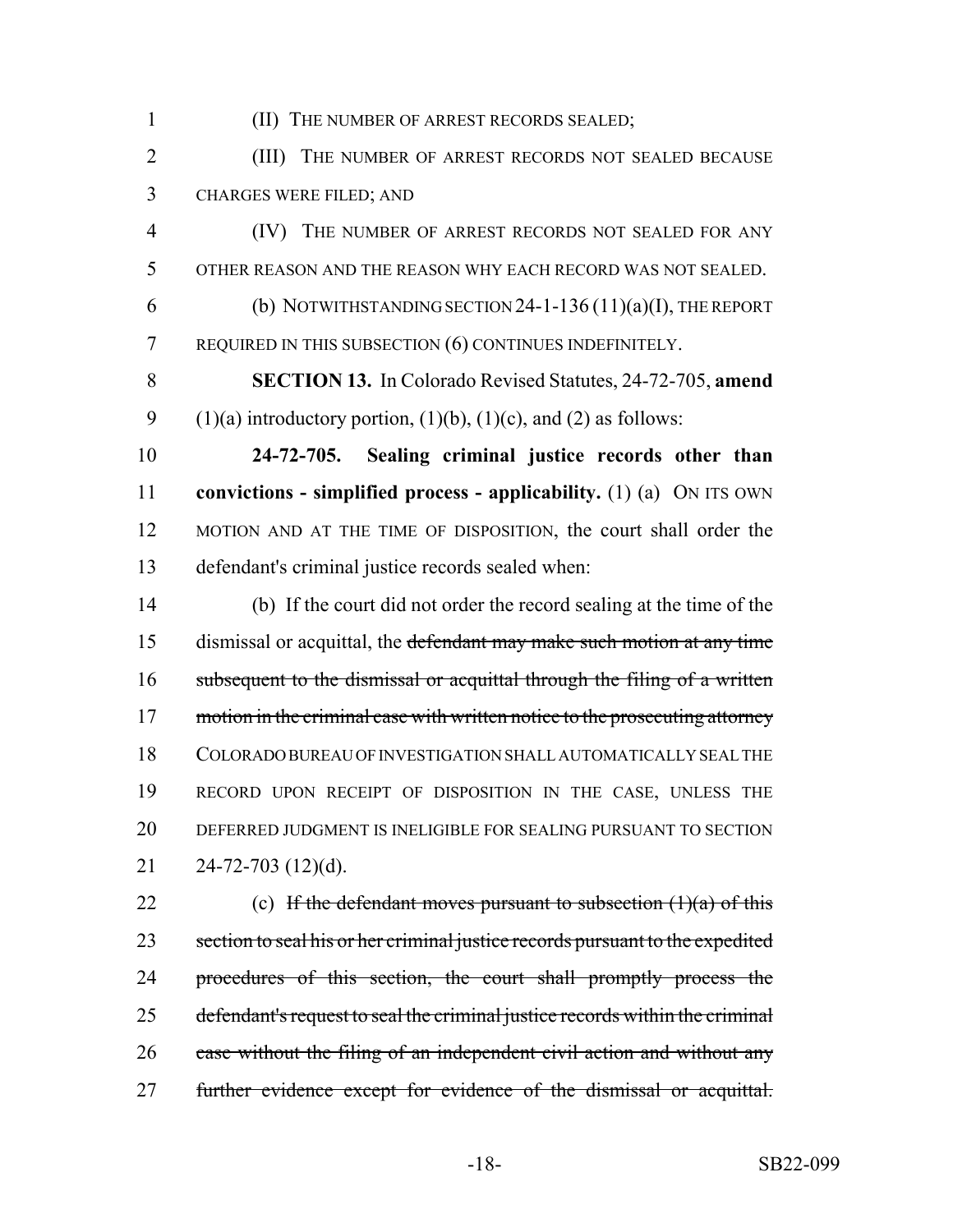(II) THE NUMBER OF ARREST RECORDS SEALED;

 (III) THE NUMBER OF ARREST RECORDS NOT SEALED BECAUSE CHARGES WERE FILED; AND

 (IV) THE NUMBER OF ARREST RECORDS NOT SEALED FOR ANY OTHER REASON AND THE REASON WHY EACH RECORD WAS NOT SEALED. 6 (b) NOTWITHSTANDING SECTION -1-136 (11)(a)(I), THE REPORT

REQUIRED IN THIS SUBSECTION (6) CONTINUES INDEFINITELY.

 **SECTION 13.** In Colorado Revised Statutes, 24-72-705, **amend** 9 (1)(a) introductory portion, (1)(b), (1)(c), and (2) as follows:

 **24-72-705. Sealing criminal justice records other than convictions - simplified process - applicability.** (1) (a) ON ITS OWN MOTION AND AT THE TIME OF DISPOSITION, the court shall order the defendant's criminal justice records sealed when:

 (b) If the court did not order the record sealing at the time of the 15 dismissal or acquittal, the defendant may make such motion at any time 16 subsequent to the dismissal or acquittal through the filing of a written 17 motion in the criminal case with written notice to the prosecuting attorney COLORADO BUREAU OF INVESTIGATION SHALL AUTOMATICALLY SEAL THE RECORD UPON RECEIPT OF DISPOSITION IN THE CASE, UNLESS THE DEFERRED JUDGMENT IS INELIGIBLE FOR SEALING PURSUANT TO SECTION 24-72-703 (12)(d).

22 (c) If the defendant moves pursuant to subsection  $(1)(a)$  of this 23 section to seal his or her criminal justice records pursuant to the expedited 24 procedures of this section, the court shall promptly process the defendant's request to seal the criminal justice records within the criminal 26 case without the filing of an independent civil action and without any 27 further evidence except for evidence of the dismissal or acquittal.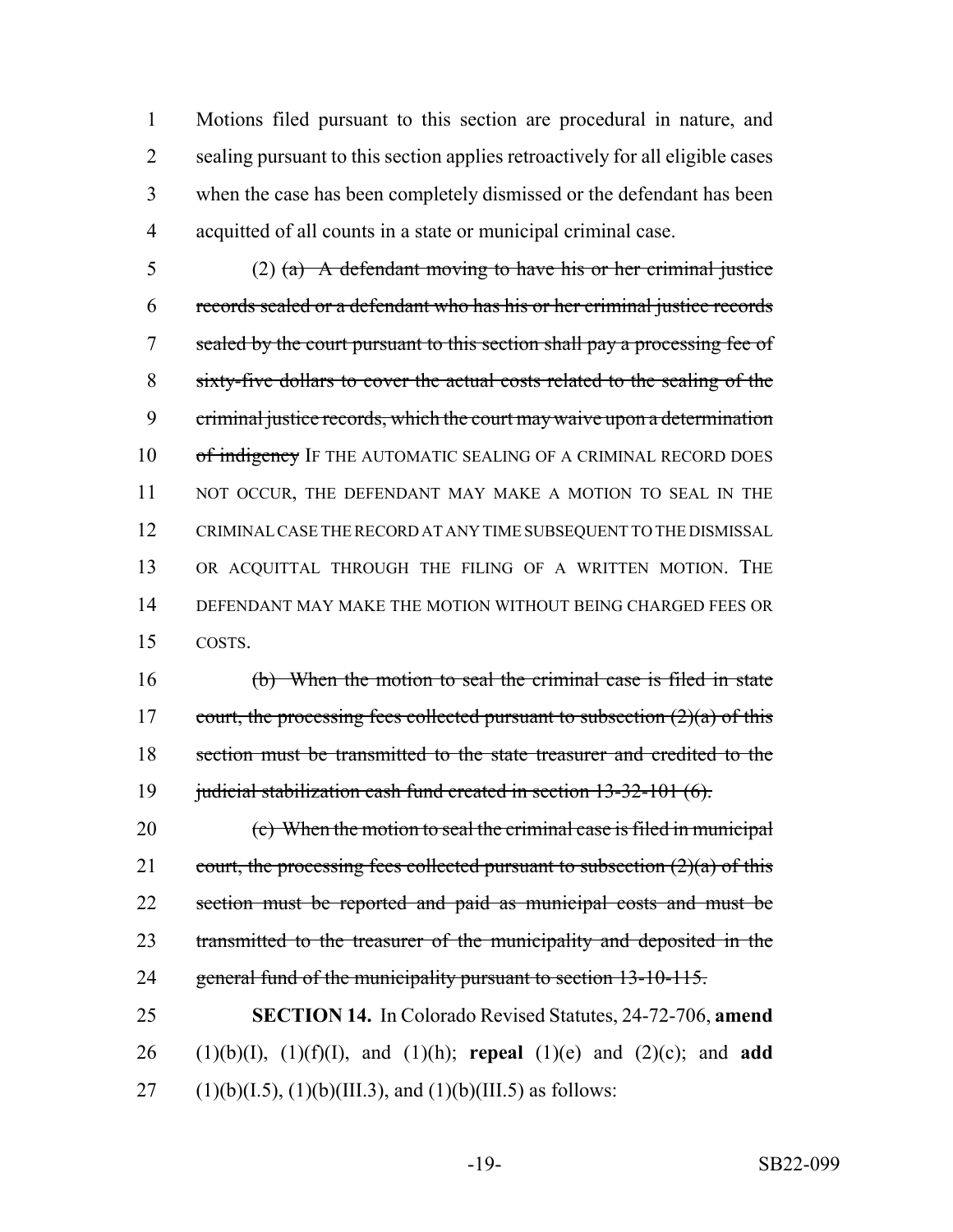Motions filed pursuant to this section are procedural in nature, and 2 sealing pursuant to this section applies retroactively for all eligible cases when the case has been completely dismissed or the defendant has been acquitted of all counts in a state or municipal criminal case.

5 (2) (a) A defendant moving to have his or her criminal justice 6 records sealed or a defendant who has his or her criminal justice records 7 sealed by the court pursuant to this section shall pay a processing fee of 8 sixty-five dollars to cover the actual costs related to the sealing of the 9 criminal justice records, which the court may waive upon a determination 10 of indigency IF THE AUTOMATIC SEALING OF A CRIMINAL RECORD DOES 11 NOT OCCUR, THE DEFENDANT MAY MAKE A MOTION TO SEAL IN THE 12 CRIMINAL CASE THE RECORD AT ANY TIME SUBSEQUENT TO THE DISMISSAL 13 OR ACQUITTAL THROUGH THE FILING OF A WRITTEN MOTION. THE 14 DEFENDANT MAY MAKE THE MOTION WITHOUT BEING CHARGED FEES OR 15 COSTS.

16 (b) When the motion to seal the criminal case is filed in state 17 court, the processing fees collected pursuant to subsection  $(2)(a)$  of this 18 section must be transmitted to the state treasurer and credited to the 19 judicial stabilization cash fund created in section 13-32-101 (6).

20 (c) When the motion to seal the criminal case is filed in municipal 21 court, the processing fees collected pursuant to subsection  $(2)(a)$  of this 22 section must be reported and paid as municipal costs and must be 23 transmitted to the treasurer of the municipality and deposited in the 24 general fund of the municipality pursuant to section 13-10-115.

25 **SECTION 14.** In Colorado Revised Statutes, 24-72-706, **amend** 26 (1)(b)(I), (1)(f)(I), and (1)(h); **repeal** (1)(e) and (2)(c); and **add** 27 (1)(b)(I.5), (1)(b)(III.3), and (1)(b)(III.5) as follows: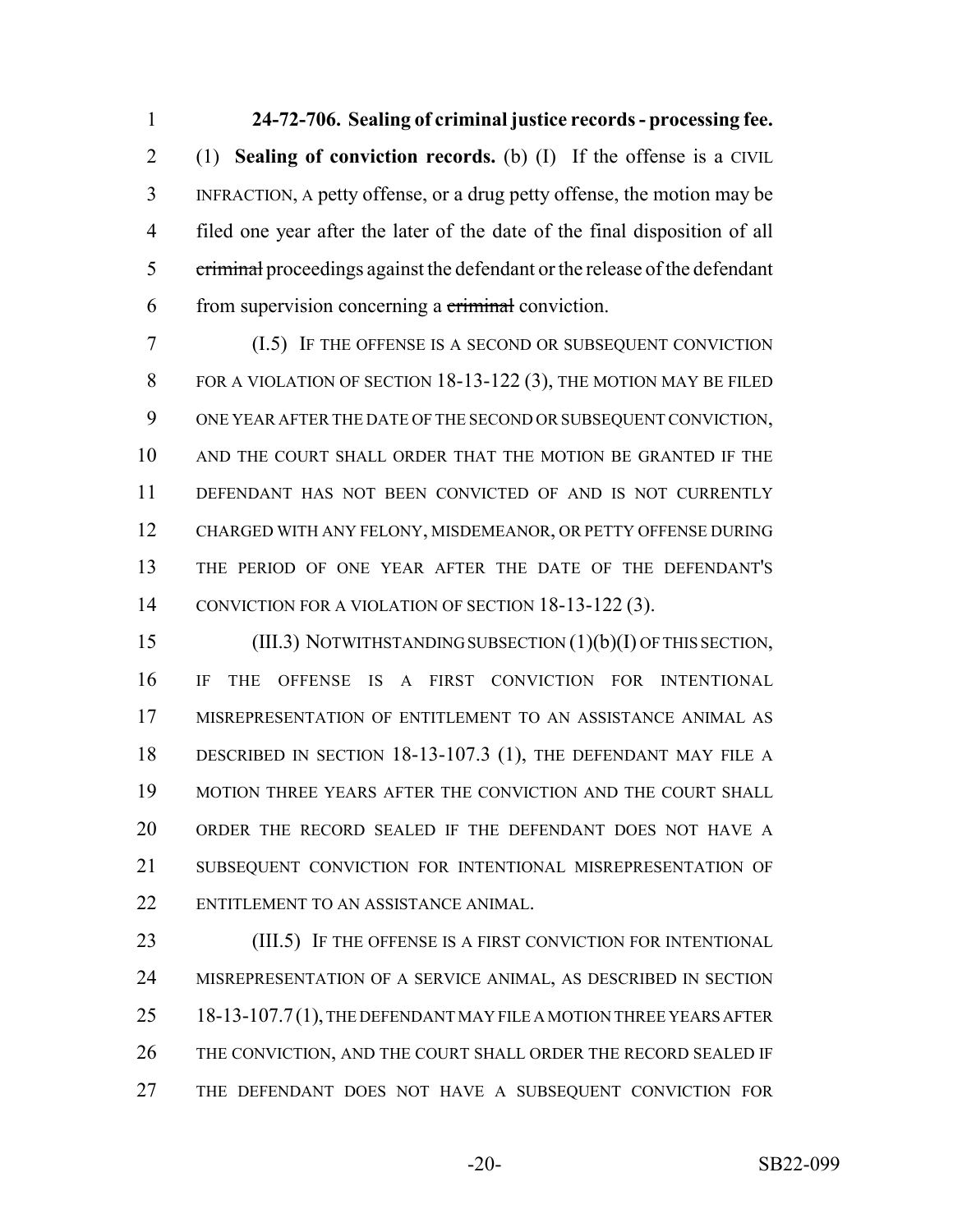**24-72-706. Sealing of criminal justice records - processing fee.** (1) **Sealing of conviction records.** (b) (I) If the offense is a CIVIL INFRACTION, A petty offense, or a drug petty offense, the motion may be filed one year after the later of the date of the final disposition of all 5 criminal proceedings against the defendant or the release of the defendant 6 from supervision concerning a criminal conviction.

 (I.5) IF THE OFFENSE IS A SECOND OR SUBSEQUENT CONVICTION 8 FOR A VIOLATION OF SECTION 18-13-122 (3), THE MOTION MAY BE FILED ONE YEAR AFTER THE DATE OF THE SECOND OR SUBSEQUENT CONVICTION, AND THE COURT SHALL ORDER THAT THE MOTION BE GRANTED IF THE DEFENDANT HAS NOT BEEN CONVICTED OF AND IS NOT CURRENTLY CHARGED WITH ANY FELONY, MISDEMEANOR, OR PETTY OFFENSE DURING THE PERIOD OF ONE YEAR AFTER THE DATE OF THE DEFENDANT'S 14 CONVICTION FOR A VIOLATION OF SECTION 18-13-122 (3).

 (III.3) NOTWITHSTANDING SUBSECTION (1)(b)(I) OF THIS SECTION, IF THE OFFENSE IS A FIRST CONVICTION FOR INTENTIONAL MISREPRESENTATION OF ENTITLEMENT TO AN ASSISTANCE ANIMAL AS DESCRIBED IN SECTION 18-13-107.3 (1), THE DEFENDANT MAY FILE A MOTION THREE YEARS AFTER THE CONVICTION AND THE COURT SHALL ORDER THE RECORD SEALED IF THE DEFENDANT DOES NOT HAVE A SUBSEQUENT CONVICTION FOR INTENTIONAL MISREPRESENTATION OF ENTITLEMENT TO AN ASSISTANCE ANIMAL.

**(III.5)** IF THE OFFENSE IS A FIRST CONVICTION FOR INTENTIONAL MISREPRESENTATION OF A SERVICE ANIMAL, AS DESCRIBED IN SECTION 25 18-13-107.7(1), THE DEFENDANT MAY FILE A MOTION THREE YEARS AFTER THE CONVICTION, AND THE COURT SHALL ORDER THE RECORD SEALED IF THE DEFENDANT DOES NOT HAVE A SUBSEQUENT CONVICTION FOR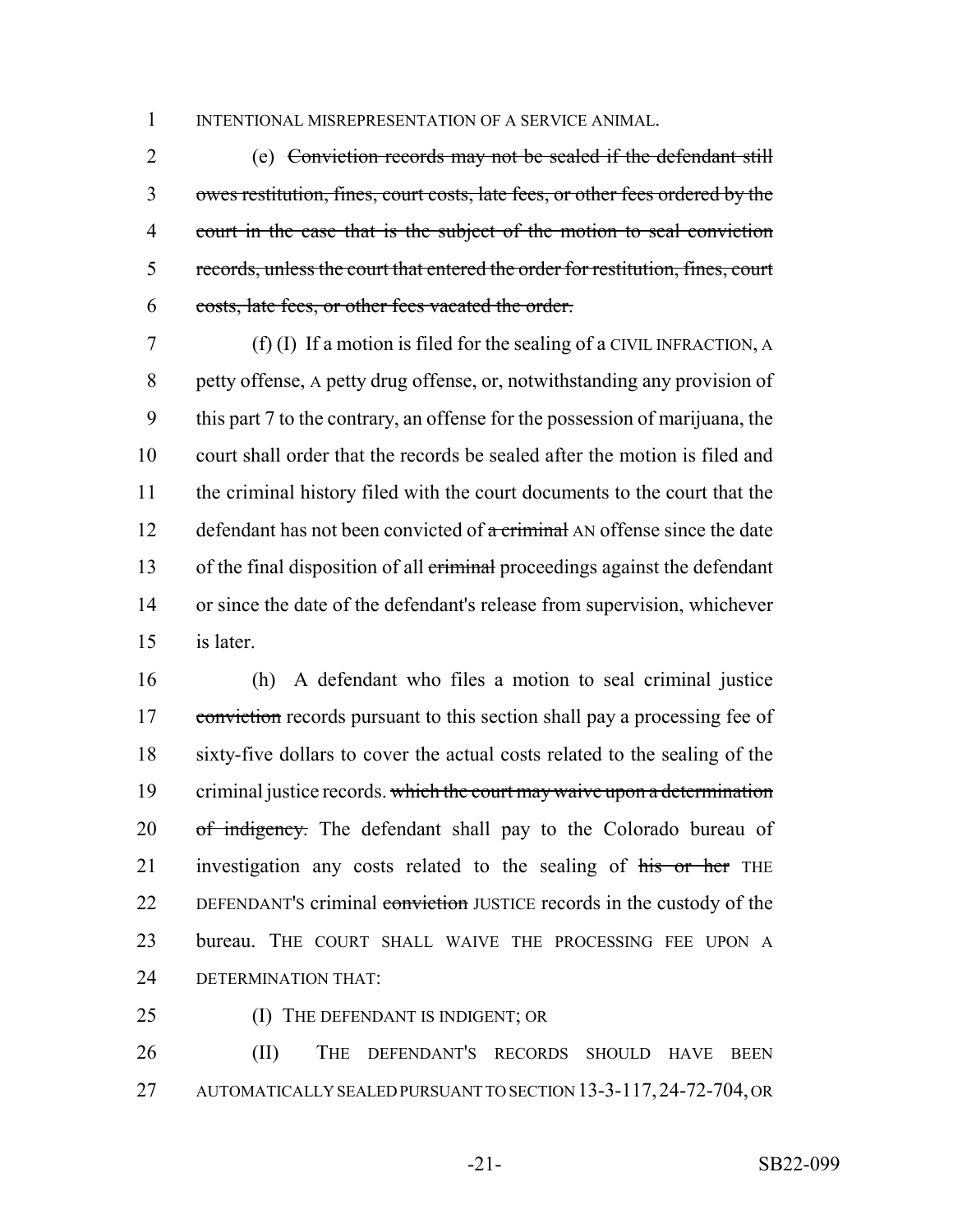1 INTENTIONAL MISREPRESENTATION OF A SERVICE ANIMAL.

 (e) Conviction records may not be sealed if the defendant still owes restitution, fines, court costs, late fees, or other fees ordered by the court in the case that is the subject of the motion to seal conviction records, unless the court that entered the order for restitution, fines, court costs, late fees, or other fees vacated the order.

 (f) (I) If a motion is filed for the sealing of a CIVIL INFRACTION, A petty offense, A petty drug offense, or, notwithstanding any provision of this part 7 to the contrary, an offense for the possession of marijuana, the court shall order that the records be sealed after the motion is filed and the criminal history filed with the court documents to the court that the 12 defendant has not been convicted of  $\alpha$  criminal AN offense since the date 13 of the final disposition of all criminal proceedings against the defendant or since the date of the defendant's release from supervision, whichever is later.

 (h) A defendant who files a motion to seal criminal justice 17 conviction records pursuant to this section shall pay a processing fee of sixty-five dollars to cover the actual costs related to the sealing of the 19 criminal justice records. which the court may waive upon a determination 20 of indigency. The defendant shall pay to the Colorado bureau of 21 investigation any costs related to the sealing of his or her THE 22 DEFENDANT's criminal conviction JUSTICE records in the custody of the bureau. THE COURT SHALL WAIVE THE PROCESSING FEE UPON A DETERMINATION THAT:

- 
- 25 (I) THE DEFENDANT IS INDIGENT; OR

 (II) THE DEFENDANT'S RECORDS SHOULD HAVE BEEN AUTOMATICALLY SEALED PURSUANT TO SECTION 13-3-117,24-72-704, OR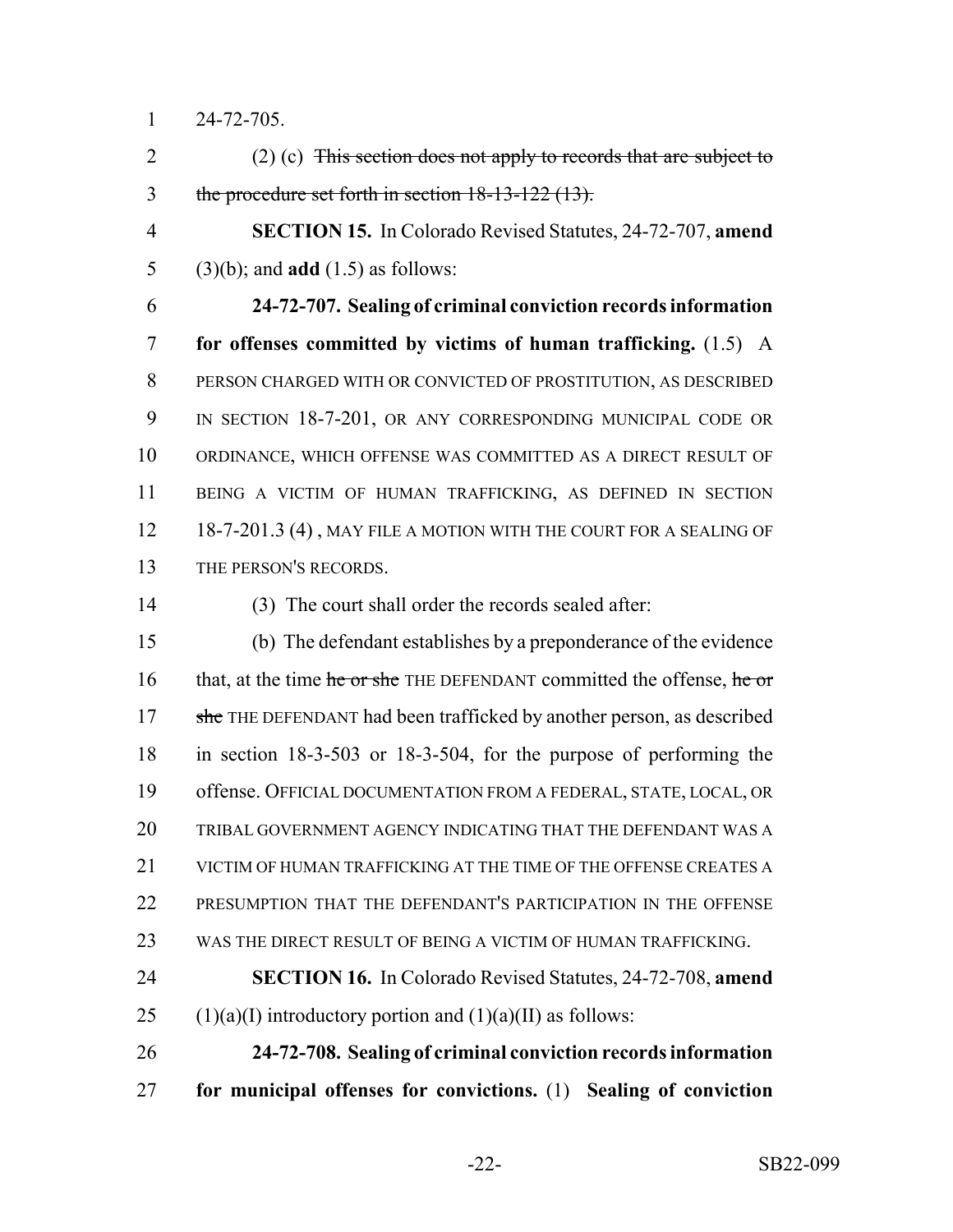24-72-705.

2 (2) (c) This section does not apply to records that are subject to the procedure set forth in section 18-13-122 (13).

 **SECTION 15.** In Colorado Revised Statutes, 24-72-707, **amend** (3)(b); and **add** (1.5) as follows:

 **24-72-707. Sealing of criminal conviction records information for offenses committed by victims of human trafficking.** (1.5) A PERSON CHARGED WITH OR CONVICTED OF PROSTITUTION, AS DESCRIBED 9 IN SECTION 18-7-201, OR ANY CORRESPONDING MUNICIPAL CODE OR ORDINANCE, WHICH OFFENSE WAS COMMITTED AS A DIRECT RESULT OF BEING A VICTIM OF HUMAN TRAFFICKING, AS DEFINED IN SECTION 12 18-7-201.3 (4), MAY FILE A MOTION WITH THE COURT FOR A SEALING OF THE PERSON'S RECORDS.

(3) The court shall order the records sealed after:

 (b) The defendant establishes by a preponderance of the evidence 16 that, at the time he or she THE DEFENDANT committed the offense, he or 17 she THE DEFENDANT had been trafficked by another person, as described in section 18-3-503 or 18-3-504, for the purpose of performing the offense. OFFICIAL DOCUMENTATION FROM A FEDERAL, STATE, LOCAL, OR TRIBAL GOVERNMENT AGENCY INDICATING THAT THE DEFENDANT WAS A 21 VICTIM OF HUMAN TRAFFICKING AT THE TIME OF THE OFFENSE CREATES A PRESUMPTION THAT THE DEFENDANT'S PARTICIPATION IN THE OFFENSE WAS THE DIRECT RESULT OF BEING A VICTIM OF HUMAN TRAFFICKING.

 **SECTION 16.** In Colorado Revised Statutes, 24-72-708, **amend** 25 (1)(a)(I) introductory portion and  $(1)(a)(II)$  as follows:

 **24-72-708. Sealing of criminal conviction records information for municipal offenses for convictions.** (1) **Sealing of conviction**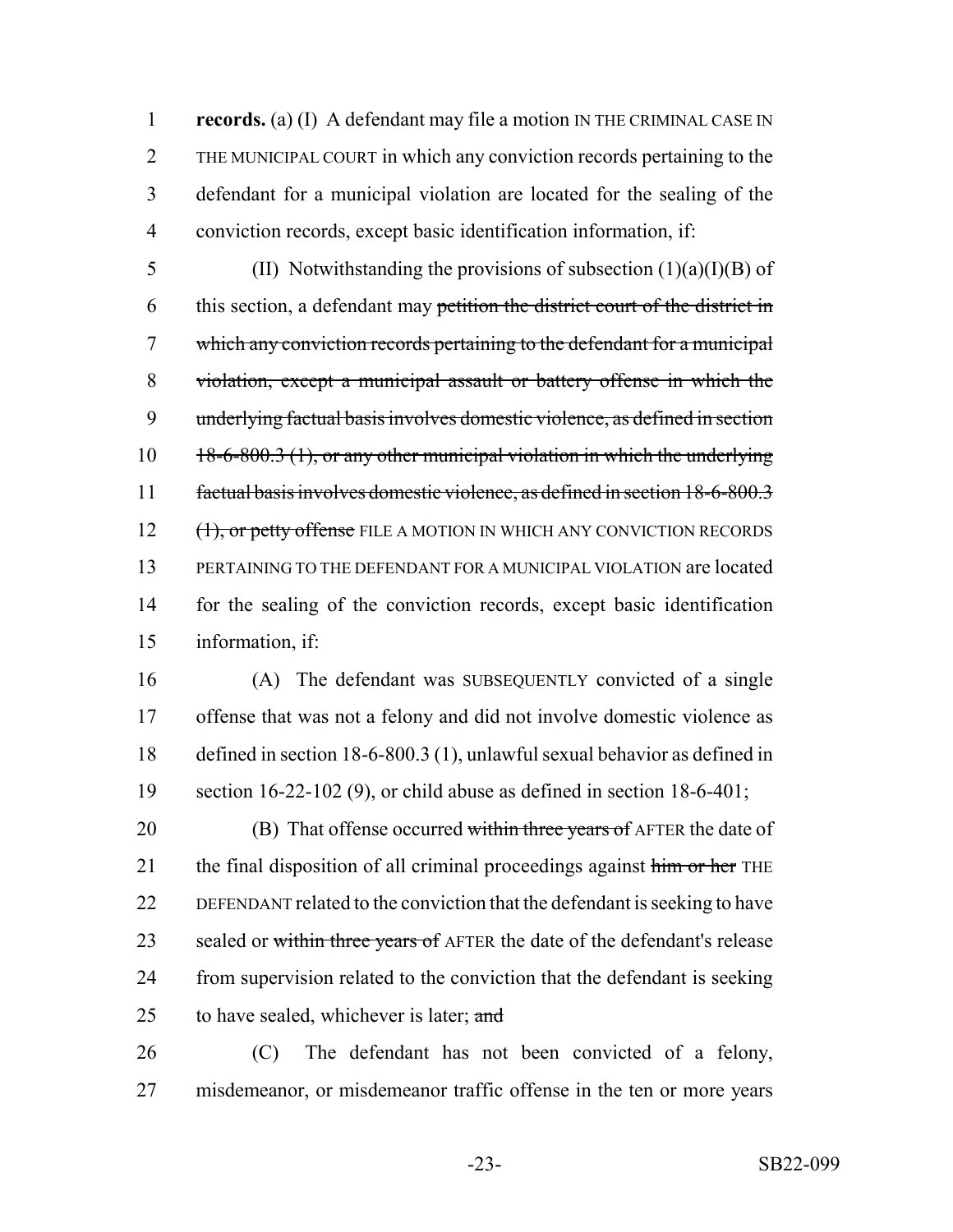**records.** (a) (I) A defendant may file a motion IN THE CRIMINAL CASE IN THE MUNICIPAL COURT in which any conviction records pertaining to the defendant for a municipal violation are located for the sealing of the conviction records, except basic identification information, if:

5 (II) Notwithstanding the provisions of subsection  $(1)(a)(I)(B)$  of 6 this section, a defendant may petition the district court of the district in which any conviction records pertaining to the defendant for a municipal violation, except a municipal assault or battery offense in which the underlying factual basis involves domestic violence, as defined in section 10 18-6-800.3 (1), or any other municipal violation in which the underlying factual basis involves domestic violence, as defined in section 18-6-800.3 12 (1), or petty offense FILE A MOTION IN WHICH ANY CONVICTION RECORDS PERTAINING TO THE DEFENDANT FOR A MUNICIPAL VIOLATION are located for the sealing of the conviction records, except basic identification information, if:

 (A) The defendant was SUBSEQUENTLY convicted of a single offense that was not a felony and did not involve domestic violence as defined in section 18-6-800.3 (1), unlawful sexual behavior as defined in section 16-22-102 (9), or child abuse as defined in section 18-6-401;

20 (B) That offense occurred within three years of AFTER the date of 21 the final disposition of all criminal proceedings against him or her THE DEFENDANT related to the conviction that the defendant is seeking to have 23 sealed or within three years of AFTER the date of the defendant's release 24 from supervision related to the conviction that the defendant is seeking 25 to have sealed, whichever is later;  $\alpha$ nd

 (C) The defendant has not been convicted of a felony, misdemeanor, or misdemeanor traffic offense in the ten or more years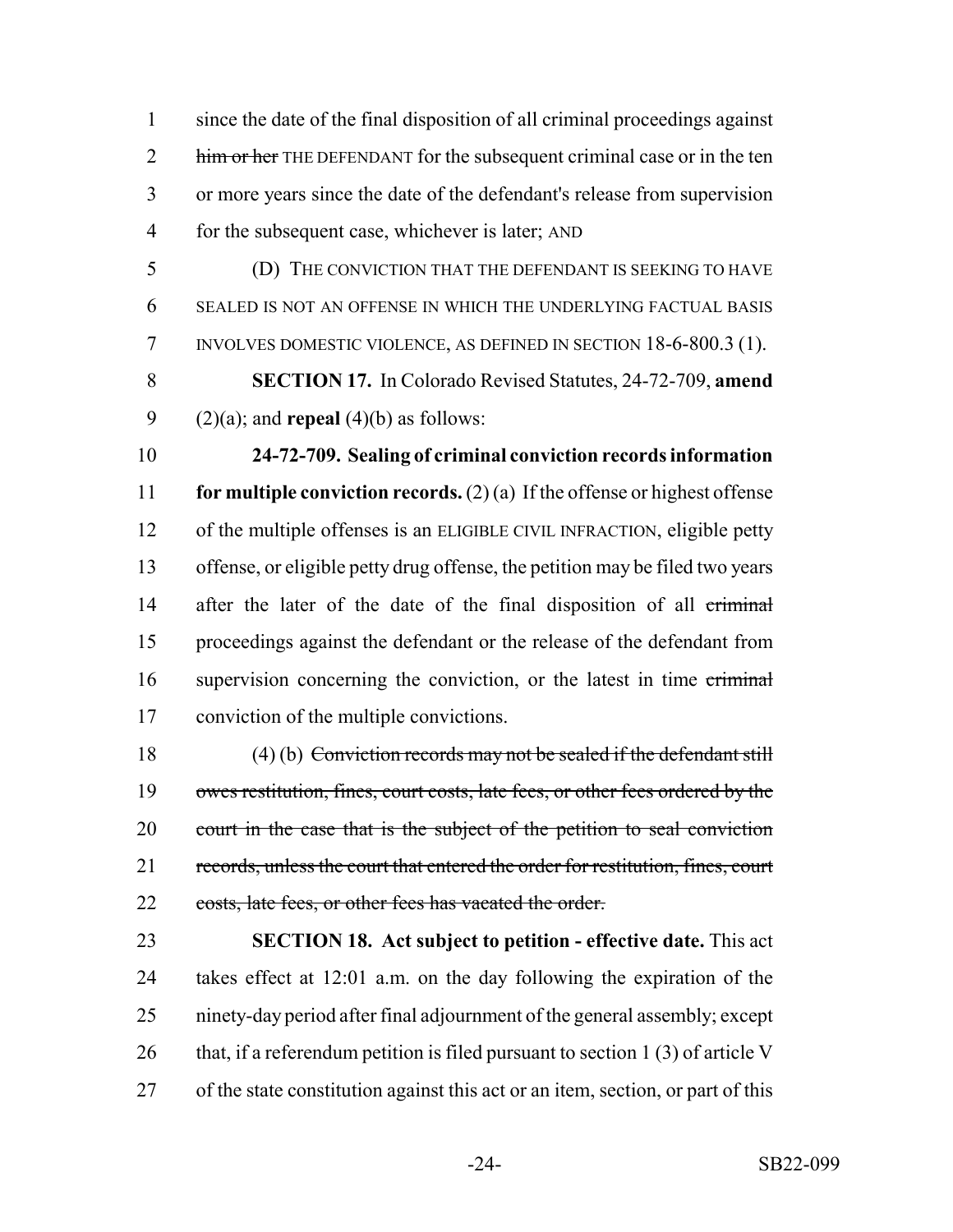since the date of the final disposition of all criminal proceedings against 2 him or her THE DEFENDANT for the subsequent criminal case or in the ten or more years since the date of the defendant's release from supervision for the subsequent case, whichever is later; AND

- (D) THE CONVICTION THAT THE DEFENDANT IS SEEKING TO HAVE SEALED IS NOT AN OFFENSE IN WHICH THE UNDERLYING FACTUAL BASIS INVOLVES DOMESTIC VIOLENCE, AS DEFINED IN SECTION 18-6-800.3 (1).
- **SECTION 17.** In Colorado Revised Statutes, 24-72-709, **amend** 9 (2)(a); and **repeal** (4)(b) as follows:

 **24-72-709. Sealing of criminal conviction records information for multiple conviction records.** (2) (a) If the offense or highest offense of the multiple offenses is an ELIGIBLE CIVIL INFRACTION, eligible petty offense, or eligible petty drug offense, the petition may be filed two years 14 after the later of the date of the final disposition of all criminal proceedings against the defendant or the release of the defendant from 16 supervision concerning the conviction, or the latest in time criminal conviction of the multiple convictions.

 (4) (b) Conviction records may not be sealed if the defendant still 19 owes restitution, fines, court costs, late fees, or other fees ordered by the 20 court in the case that is the subject of the petition to seal conviction records, unless the court that entered the order for restitution, fines, court 22 costs, late fees, or other fees has vacated the order.

 **SECTION 18. Act subject to petition - effective date.** This act takes effect at 12:01 a.m. on the day following the expiration of the ninety-day period after final adjournment of the general assembly; except 26 that, if a referendum petition is filed pursuant to section 1 (3) of article V of the state constitution against this act or an item, section, or part of this